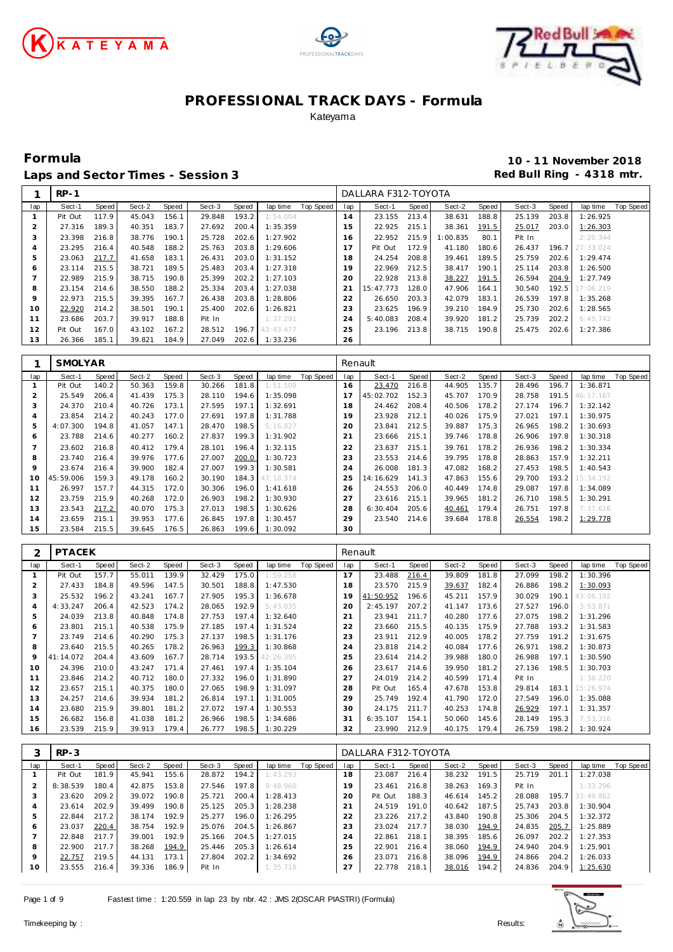





**Formula 10 - 11 November 2018** Laps and Sector Times - Session 3 **Red Bull Ring - 4318 mtr.** And Sector Times - Session 3

|     | $RP-1$  |       |        |       |        |       |           |           |     | DALLARA F312-TOYOTA |       |          |       |        |       |           |           |
|-----|---------|-------|--------|-------|--------|-------|-----------|-----------|-----|---------------------|-------|----------|-------|--------|-------|-----------|-----------|
| lap | Sect-1  | Speed | Sect-2 | Speed | Sect-3 | Speed | lap time  | Top Speed | lap | Sect-1              | Speed | Sect-2   | Speed | Sect-3 | Speed | lap time  | Top Speed |
|     | Pit Out | 117.9 | 45.043 | 156.1 | 29.848 | 193.2 | 1:54.004  |           | 14  | 23.155              | 213.4 | 38.631   | 188.8 | 25.139 | 203.8 | 1:26.925  |           |
|     | 27.316  | 189.3 | 40.351 | 183.7 | 27.692 | 200.4 | 1:35.359  |           | 15  | 22.925              | 215.1 | 38.361   | 191.5 | 25.017 | 203.0 | 1:26.303  |           |
| 3   | 23.398  | 216.8 | 38.776 | 190.1 | 25.728 | 202.6 | 1:27.902  |           | 16  | 22.952              | 215.9 | 1:00.835 | 80.1  | Pit In |       | 2:20.344  |           |
| 4   | 23.295  | 216.4 | 40.548 | 188.2 | 25.763 | 203.8 | 1:29.606  |           | 17  | Pit Out             | 172.9 | 41.180   | 180.6 | 26.437 | 196.7 | 27:33.024 |           |
| 5   | 23.063  | 217.7 | 41.658 | 183.1 | 26.431 | 203.0 | 1:31.152  |           | 18  | 24.254              | 208.8 | 39.461   | 189.5 | 25.759 | 202.6 | 1:29.474  |           |
| 6   | 23.114  | 215.5 | 38.721 | 189.5 | 25.483 | 203.4 | 1:27.318  |           | 19  | 22.969              | 212.5 | 38.417   | 190.1 | 25.114 | 203.8 | 1:26.500  |           |
|     | 22.989  | 215.9 | 38.715 | 190.8 | 25.399 | 202.2 | 1:27.103  |           | 20  | 22.928              | 213.8 | 38.227   | 191.5 | 26.594 | 204.9 | 1:27.749  |           |
| 8   | 23.154  | 214.6 | 38.550 | 188.2 | 25.334 | 203.4 | 1:27.038  |           | 21  | 15:47.773           | 128.0 | 47.906   | 164.1 | 30.540 | 192.5 | 17:06.219 |           |
| 9   | 22.973  | 215.5 | 39.395 | 167.7 | 26.438 | 203.8 | 1:28.806  |           | 22  | 26.650              | 203.3 | 42.079   | 183.1 | 26.539 | 197.8 | 1:35.268  |           |
| 10  | 22.920  | 214.2 | 38.501 | 190.1 | 25.400 | 202.6 | 1:26.821  |           | 23  | 23.625              | 196.9 | 39.210   | 184.9 | 25.730 | 202.6 | 1:28.565  |           |
| 11  | 23.686  | 203.7 | 39.917 | 188.8 | Pit In |       | 1:37.291  |           | 24  | 5:40.083            | 208.4 | 39.920   | 181.2 | 25.739 | 202.2 | 6:45.742  |           |
| 12  | Pit Out | 167.0 | 43.102 | 167.2 | 28.512 | 196.7 | 43:43.477 |           | 25  | 23.196              | 213.8 | 38.715   | 190.8 | 25.475 | 202.6 | 1:27.386  |           |
| 13  | 26.366  | 185.1 | 39.821 | 184.9 | 27.049 | 202.6 | 1:33.236  |           | 26  |                     |       |          |       |        |       |           |           |

|     | <b>SMOLYAR</b> |       |        |       |        |       |           |           | Renault |           |       |        |       |        |       |           |           |
|-----|----------------|-------|--------|-------|--------|-------|-----------|-----------|---------|-----------|-------|--------|-------|--------|-------|-----------|-----------|
| lap | Sect-1         | Speed | Sect-2 | Speed | Sect-3 | Speed | lap time  | Top Speed | lap     | Sect-1    | Speed | Sect-2 | Speed | Sect-3 | Speed | lap time  | Top Speed |
|     | Pit Out        | 140.2 | 50.363 | 159.8 | 30.266 | 181.8 | 1:51.509  |           | 16      | 23.470    | 216.8 | 44.905 | 135.7 | 28.496 | 196.7 | 1:36.871  |           |
| 2   | 25.549         | 206.4 | 41.439 | 175.3 | 28.110 | 194.6 | 1:35.098  |           |         | 45:02.702 | 152.3 | 45.707 | 170.9 | 28.758 | 191.5 | 46:17.167 |           |
| 3   | 24.370         | 210.4 | 40.726 | 173.1 | 27.595 | 197.1 | 1:32.691  |           | 18      | 24.462    | 208.4 | 40.506 | 178.2 | 27.174 | 196.7 | 1:32.142  |           |
| 4   | 23.854         | 214.2 | 40.243 | 177.0 | 27.691 | 197.8 | 1:31.788  |           | 19      | 23.928    | 212.1 | 40.026 | 175.9 | 27.021 | 197.1 | 1:30.975  |           |
| 5   | 4:07.300       | 194.8 | 41.057 | 147.1 | 28.470 | 198.5 | 5:16.827  |           | 20      | 23.841    | 212.5 | 39.887 | 175.3 | 26.965 | 198.2 | 1:30.693  |           |
| 6   | 23.788         | 214.6 | 40.277 | 160.2 | 27.837 | 199.3 | 1:31.902  |           | 21      | 23.666    | 215.1 | 39.746 | 178.8 | 26.906 | 197.8 | 1:30.318  |           |
|     | 23.602         | 216.8 | 40.412 | 179.4 | 28.101 | 196.4 | 1:32.115  |           | 22      | 23.637    | 215.1 | 39.761 | 178.2 | 26.936 | 198.2 | 1:30.334  |           |
| 8   | 23.740         | 216.4 | 39.976 | 177.6 | 27.007 | 200.0 | 1:30.723  |           | 23      | 23.553    | 214.6 | 39.795 | 178.8 | 28.863 | 157.9 | 1:32.211  |           |
| 9   | 23.674         | 216.4 | 39.900 | 182.4 | 27.007 | 199.3 | 1:30.581  |           | 24      | 26.008    | 181.3 | 47.082 | 168.2 | 27.453 | 198.5 | 1:40.543  |           |
| 10  | 45:59.006      | 159.3 | 49.178 | 160.2 | 30.190 | 184.3 | 47:18.374 |           | 25      | 14:16.629 | 141.3 | 47.863 | 155.6 | 29.700 | 193.2 | 15:34.192 |           |
| 11  | 26.997         | 157.7 | 44.315 | 172.0 | 30.306 | 196.0 | 1:41.618  |           | 26      | 24.553    | 206.0 | 40.449 | 174.8 | 29.087 | 197.8 | 1:34.089  |           |
| 12  | 23.759         | 215.9 | 40.268 | 172.0 | 26.903 | 198.2 | 1:30.930  |           | 27      | 23.616    | 215.1 | 39.965 | 181.2 | 26.710 | 198.5 | 1:30.291  |           |
| 13  | 23.543         | 217.2 | 40.070 | 175.3 | 27.013 | 198.5 | 1:30.626  |           | 28      | 6:30.404  | 205.6 | 40.461 | 179.4 | 26.751 | 197.8 | 7:37.616  |           |
| 14  | 23.659         | 215.1 | 39.953 | 177.6 | 26.845 | 197.8 | 1:30.457  |           | 29      | 23.540    | 214.6 | 39.684 | 178.8 | 26.554 | 198.2 | 1:29.778  |           |
| 15  | 23.584         | 215.5 | 39.645 | 176.5 | 26.863 | 199.6 | 1:30.092  |           | 30      |           |       |        |       |        |       |           |           |

| ⌒       | <b>PTACEK</b> |       |        |       |        |       |           |           | Renault |           |       |        |       |        |       |           |                  |
|---------|---------------|-------|--------|-------|--------|-------|-----------|-----------|---------|-----------|-------|--------|-------|--------|-------|-----------|------------------|
| lap     | Sect-1        | Speed | Sect-2 | Speed | Sect-3 | Speed | lap time  | Top Speed | lap     | Sect-1    | Speed | Sect-2 | Speed | Sect-3 | Speed | lap time  | <b>Top Speed</b> |
|         | Pit Out       | 157.7 | 55.011 | 139.9 | 32.429 | 175.0 | 1:59.258  |           | 17      | 23.488    | 216.4 | 39.809 | 181.8 | 27.099 | 198.2 | 1:30.396  |                  |
| 2       | 27.433        | 184.8 | 49.596 | 147.5 | 30.501 | 188.8 | 1:47.530  |           | 18      | 23.570    | 215.9 | 39.637 | 182.4 | 26.886 | 198.2 | 1:30.093  |                  |
| 3       | 25.532        | 196.2 | 43.241 | 167.7 | 27.905 | 195.3 | 1:36.678  |           | 19      | 41:50.952 | 196.6 | 45.211 | 157.9 | 30.029 | 190.1 | 43:06.192 |                  |
| 4       | 4:33.247      | 206.4 | 42.523 | 174.2 | 28.065 | 192.9 | 5:43.835  |           | 20      | 2:45.197  | 207.2 | 41.147 | 173.6 | 27.527 | 196.0 | 3:53.871  |                  |
| 5       | 24.039        | 213.8 | 40.848 | 174.8 | 27.753 | 197.4 | 1:32.640  |           | 21      | 23.941    | 211.7 | 40.280 | 177.6 | 27.075 | 198.2 | 1:31.296  |                  |
| 6       | 23.801        | 215.1 | 40.538 | 175.9 | 27.185 | 197.4 | 1:31.524  |           | 22      | 23.660    | 215.5 | 40.135 | 175.9 | 27.788 | 193.2 | 1:31.583  |                  |
|         | 23.749        | 214.6 | 40.290 | 175.3 | 27.137 | 198.5 | 1:31.176  |           | 23      | 23.911    | 212.9 | 40.005 | 178.2 | 27.759 | 191.2 | 1:31.675  |                  |
| 8       | 23.640        | 215.5 | 40.265 | 178.2 | 26.963 | 199.3 | 1:30.868  |           | 24      | 23.818    | 214.2 | 40.084 | 177.6 | 26.971 | 198.2 | 1:30.873  |                  |
| $\circ$ | 41:14.072     | 204.4 | 43.609 | 167.7 | 28.714 | 193.5 | 42:26.395 |           | 25      | 23.614    | 214.2 | 39.988 | 180.0 | 26.988 | 197.1 | 1:30.590  |                  |
| 10      | 24.396        | 210.0 | 43.247 | 171.4 | 27.461 | 197.4 | 1:35.104  |           | 26      | 23.617    | 214.6 | 39.950 | 181.2 | 27.136 | 198.5 | 1:30.703  |                  |
| 11      | 23.846        | 214.2 | 40.712 | 180.0 | 27.332 | 196.0 | 1:31.890  |           | 27      | 24.019    | 214.2 | 40.599 | 171.4 | Pit In |       | 1:38.220  |                  |
| 12      | 23.657        | 215.1 | 40.375 | 180.0 | 27.065 | 198.9 | 1:31.097  |           | 28      | Pit Out   | 165.4 | 47.678 | 153.8 | 29.814 | 183.1 | 15:26.974 |                  |
| 13      | 24.257        | 214.6 | 39.934 | 181.2 | 26.814 | 197.1 | 1:31.005  |           | 29      | 25.749    | 192.4 | 41.790 | 172.0 | 27.549 | 196.0 | 1:35.088  |                  |
| 14      | 23.680        | 215.9 | 39.801 | 181.2 | 27.072 | 197.4 | 1:30.553  |           | 30      | 24.175    | 211.7 | 40.253 | 174.8 | 26.929 | 197.1 | 1:31.357  |                  |
| 15      | 26.682        | 156.8 | 41.038 | 181.2 | 26.966 | 198.5 | 1:34.686  |           | 31      | 6:35.107  | 154.1 | 50.060 | 145.6 | 28.149 | 195.3 | 7:53.316  |                  |
| 16      | 23.539        | 215.9 | 39.913 | 179.4 | 26.777 | 198.5 | 1:30.229  |           | 32      | 23.990    | 212.9 | 40.175 | 179.4 | 26.759 | 198.2 | 1:30.924  |                  |

|     | $RP-3$   |       |        |       |        |       |          |           |                | DALLARA F312-TOYOTA |       |        |       |        |       |            |           |
|-----|----------|-------|--------|-------|--------|-------|----------|-----------|----------------|---------------------|-------|--------|-------|--------|-------|------------|-----------|
| lap | Sect-1   | Speed | Sect-2 | Speed | Sect-3 | Speed | lap time | Top Speed | lap            | Sect-1              | Speed | Sect-2 | Speed | Sect-3 | Speed | lap time   | Top Speed |
|     | Pit Out  | 181.9 | 45.941 | 155.6 | 28.872 | 194.2 | 1:43.293 |           | 18             | 23.087              | 216.4 | 38.232 | 191.5 | 25.719 | 201.1 | 1:27.038   |           |
|     | 8:38.539 | 180.4 | 42.875 | 153.8 | 27.546 | 197.8 | 9:48.960 |           | 19             | 23.461              | 216.8 | 38.263 | 169.3 | Pit In |       | 1:33.296   |           |
|     | 23.620   | 209.2 | 39.072 | 190.8 | 25.721 | 200.4 | 1:28.413 |           | 20             | Pit Out             | 188.3 | 46.614 | 145.2 | 28.088 | 195.7 | 133:49.862 |           |
| 4   | 23.614   | 202.9 | 39.499 | 190.8 | 25.125 | 205.3 | 1:28.238 |           | 2 <sub>1</sub> | 24.519              | 191.0 | 40.642 | 187.5 | 25.743 | 203.8 | 1:30.904   |           |
| 5   | 22.844   | 217.2 | 38.174 | 192.9 | 25.277 | 196.0 | 1:26.295 |           | 22             | 23.226              | 217.2 | 43.840 | 190.8 | 25.306 | 204.5 | 1:32.372   |           |
| O   | 23.037   | 220.4 | 38.754 | 192.9 | 25.076 | 204.5 | 1:26.867 |           | 23             | 23.024              | 217.7 | 38.030 | 194.9 | 24.835 | 205.7 | 1:25.889   |           |
|     | 22.848   | 217.7 | 39.001 | 192.9 | 25.166 | 204.5 | 1:27.015 |           | 24             | 22.861              | 218.1 | 38.395 | 185.6 | 26.097 | 202.2 | 1:27.353   |           |
| 8   | 22.900   | 217.7 | 38.268 | 194.9 | 25.446 | 205.3 | 1:26.614 |           | 25             | 22.901              | 216.4 | 38.060 | 194.9 | 24.940 | 204.9 | 1:25.901   |           |
| 9   | 22.757   | 219.5 | 44.131 | 173.1 | 27.804 | 202.2 | 1:34.692 |           | 26             | 23.071              | 216.8 | 38.096 | 194.9 | 24.866 | 204.2 | 1:26.033   |           |
| 10  | 23.555   | 216.4 | 39.336 | 186.9 | Pit In |       | 1:35.718 |           | 27             | 22.778              | 218.1 | 38.016 | 194.2 | 24.836 | 204.9 | 1:25.630   |           |

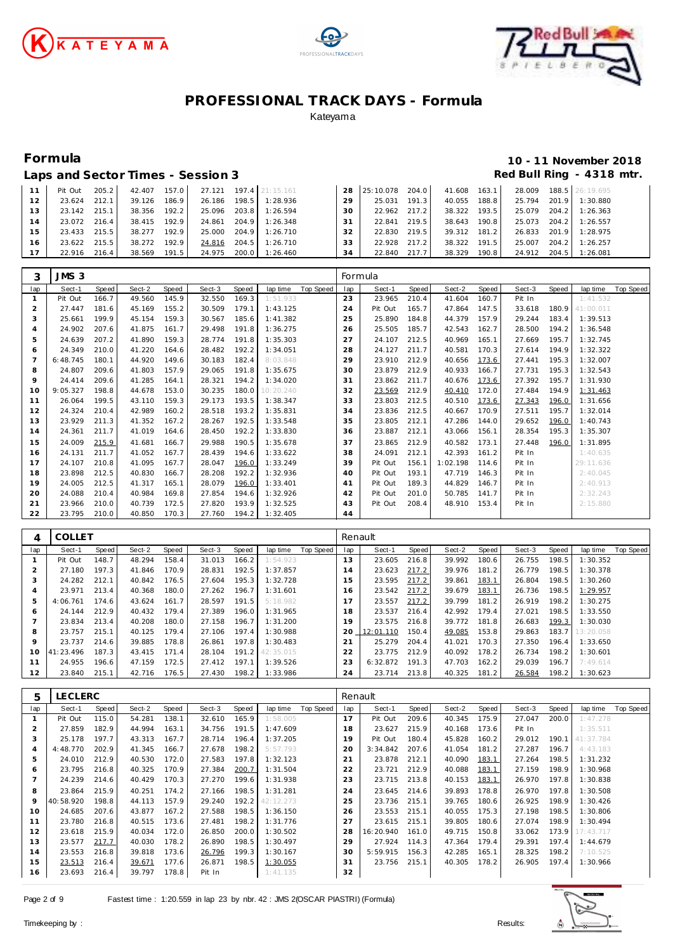





# **Formula 10 - 11 November 2018**

Laps and Sector Times - Session 3 **Red Bull Ring - 4318 mtr.** And Sector Times - Session 3

|                 | Pit Out | 205.2 | 42.407 | 157.0 |        |       | 27.121 197.4 21:15.161 |    | 28 25:10.078 | 204.0 | 41.608 163.1 |       | 28.009 | 188.5 26:19.695 |
|-----------------|---------|-------|--------|-------|--------|-------|------------------------|----|--------------|-------|--------------|-------|--------|-----------------|
| 12              | 23.624  | 212.1 | 39.126 | 186.9 | 26.186 | 198.5 | 1:28.936               | 29 | 25.031       | 191.3 | 40.055       | 188.8 | 25.794 | 201.9 1:30.880  |
| 13 <sub>1</sub> | 23.142  | 215.1 | 38.356 | 192.2 | 25.096 |       | 203.8 1:26.594         | 30 | 22.962 217.2 |       | 38.322       | 193.5 | 25.079 | 204.2 1:26.363  |
| 14              | 23.072  | 216.4 | 38.415 | 192.9 | 24.861 |       | 204.9 1:26.348         | 31 | 22.841       | 219.5 | 38.643       | 190.8 | 25.073 | 204.2 1:26.557  |
| 15              | 23.433  | 215.5 | 38.277 | 192.9 | 25.000 |       | 204.9 1:26.710         | 32 | 22.830       | 219.5 | 39.312       | 181.2 | 26.833 | 201.9 1:28.975  |
| 16              | 23.622  | 215.5 | 38.272 | 192.9 | 24.816 | 204.5 | 1:26.710               | 33 | 22.928       | 217.2 | 38.322       | 191.5 | 25.007 | 204.2 1:26.257  |
| 17              | 22.916  | 216.4 | 38.569 | 191.5 |        |       | 24.975 200.0 1:26.460  | 34 | 22.840       | 217.7 | 38.329       | 190.8 | 24.912 | 204.5 1:26.081  |

| 3                     | JMS <sub>3</sub> |       |        |       |        |       |           |           | Formula |         |       |          |       |        |       |           |           |
|-----------------------|------------------|-------|--------|-------|--------|-------|-----------|-----------|---------|---------|-------|----------|-------|--------|-------|-----------|-----------|
| lap                   | Sect-1           | Speed | Sect-2 | Speed | Sect-3 | Speed | lap time  | Top Speed | lap     | Sect-1  | Speed | Sect-2   | Speed | Sect-3 | Speed | lap time  | Top Speed |
|                       | Pit Out          | 166.7 | 49.560 | 145.9 | 32.550 | 169.3 | 1:51.933  |           | 23      | 23.965  | 210.4 | 41.604   | 160.7 | Pit In |       | 1:41.532  |           |
| $\overline{2}$        | 27.447           | 181.6 | 45.169 | 155.2 | 30.509 | 179.1 | 1:43.125  |           | 24      | Pit Out | 165.7 | 47.864   | 147.5 | 33.618 | 180.9 | 41:00.011 |           |
| 3                     | 25.661           | 199.9 | 45.154 | 159.3 | 30.567 | 185.6 | 1:41.382  |           | 25      | 25.890  | 184.8 | 44.379   | 157.9 | 29.244 | 183.4 | 1:39.513  |           |
| $\boldsymbol{\Delta}$ | 24.902           | 207.6 | 41.875 | 161.7 | 29.498 | 191.8 | 1:36.275  |           | 26      | 25.505  | 185.7 | 42.543   | 162.7 | 28.500 | 194.2 | 1:36.548  |           |
| 5                     | 24.639           | 207.2 | 41.890 | 159.3 | 28.774 | 191.8 | 1:35.303  |           | 27      | 24.107  | 212.5 | 40.969   | 165.1 | 27.669 | 195.7 | 1:32.745  |           |
| 6                     | 24.349           | 210.0 | 41.220 | 164.6 | 28.482 | 192.2 | 1:34.051  |           | 28      | 24.127  | 211.7 | 40.581   | 170.3 | 27.614 | 194.9 | 1:32.322  |           |
| 7                     | 6:48.745         | 180.1 | 44.920 | 149.6 | 30.183 | 182.4 | 8:03.848  |           | 29      | 23.910  | 212.9 | 40.656   | 173.6 | 27.441 | 195.3 | 1:32.007  |           |
| 8                     | 24.807           | 209.6 | 41.803 | 157.9 | 29.065 | 191.8 | 1:35.675  |           | 30      | 23.879  | 212.9 | 40.933   | 166.7 | 27.731 | 195.3 | 1:32.543  |           |
| 9                     | 24.414           | 209.6 | 41.285 | 164.1 | 28.321 | 194.2 | 1:34.020  |           | 31      | 23.862  | 211.7 | 40.676   | 173.6 | 27.392 | 195.7 | 1:31.930  |           |
| 10                    | 9:05.327         | 198.8 | 44.678 | 153.0 | 30.235 | 180.0 | 10:20.240 |           | 32      | 23.569  | 212.9 | 40.410   | 172.0 | 27.484 | 194.9 | 1:31.463  |           |
| 11                    | 26.064           | 199.5 | 43.110 | 159.3 | 29.173 | 193.5 | 1:38.347  |           | 33      | 23.803  | 212.5 | 40.510   | 173.6 | 27.343 | 196.0 | 1:31.656  |           |
| 12                    | 24.324           | 210.4 | 42.989 | 160.2 | 28.518 | 193.2 | 1:35.831  |           | 34      | 23.836  | 212.5 | 40.667   | 170.9 | 27.511 | 195.7 | 1:32.014  |           |
| 13                    | 23.929           | 211.3 | 41.352 | 167.2 | 28.267 | 192.5 | 1:33.548  |           | 35      | 23.805  | 212.1 | 47.286   | 144.0 | 29.652 | 196.0 | 1:40.743  |           |
| 14                    | 24.361           | 211.7 | 41.019 | 164.6 | 28.450 | 192.2 | 1:33.830  |           | 36      | 23.887  | 212.1 | 43.066   | 156.1 | 28.354 | 195.3 | 1:35.307  |           |
| 15                    | 24.009           | 215.9 | 41.681 | 166.7 | 29.988 | 190.5 | 1:35.678  |           | 37      | 23.865  | 212.9 | 40.582   | 173.1 | 27.448 | 196.0 | 1:31.895  |           |
| 16                    | 24.131           | 211.7 | 41.052 | 167.7 | 28.439 | 194.6 | 1:33.622  |           | 38      | 24.091  | 212.1 | 42.393   | 161.2 | Pit In |       | 1:40.635  |           |
| 17                    | 24.107           | 210.8 | 41.095 | 167.7 | 28.047 | 196.0 | 1:33.249  |           | 39      | Pit Out | 156.1 | 1:02.198 | 114.6 | Pit In |       | 29:11.636 |           |
| 18                    | 23.898           | 212.5 | 40.830 | 166.7 | 28.208 | 192.2 | 1:32.936  |           | 40      | Pit Out | 193.1 | 47.719   | 146.3 | Pit In |       | 2:40.045  |           |
| 19                    | 24.005           | 212.5 | 41.317 | 165.1 | 28.079 | 196.0 | 1:33.401  |           | 41      | Pit Out | 189.3 | 44.829   | 146.7 | Pit In |       | 2:40.913  |           |
| 20                    | 24.088           | 210.4 | 40.984 | 169.8 | 27.854 | 194.6 | 1:32.926  |           | 42      | Pit Out | 201.0 | 50.785   | 141.7 | Pit In |       | 2:32.243  |           |
| 21                    | 23.966           | 210.0 | 40.739 | 172.5 | 27.820 | 193.9 | 1:32.525  |           | 43      | Pit Out | 208.4 | 48.910   | 153.4 | Pit In |       | 2:15.880  |           |
| 22                    | 23.795           | 210.0 | 40.850 | 170.3 | 27.760 | 194.2 | 1:32.405  |           | 44      |         |       |          |       |        |       |           |           |

|                  | COLLET    |       |        |       |        |       |           |           | Renault |           |       |        |       |        |       |           |           |
|------------------|-----------|-------|--------|-------|--------|-------|-----------|-----------|---------|-----------|-------|--------|-------|--------|-------|-----------|-----------|
| lap              | Sect-1    | Speed | Sect-2 | Speed | Sect-3 | Speed | lap time  | Top Speed | lap     | Sect-1    | Speed | Sect-2 | Speed | Sect-3 | Speed | lap time  | Top Speed |
|                  | Pit Out   | 148.7 | 48.294 | 158.4 | 31.013 | 166.2 | 1:54.923  |           | 13      | 23.605    | 216.8 | 39.992 | 180.6 | 26.755 | 198.5 | 1:30.352  |           |
|                  | 27.180    | 197.3 | 41.846 | 170.9 | 28.831 | 192.5 | 1:37.857  |           | 14      | 23.623    | 217.2 | 39.976 | 181.2 | 26.779 | 198.5 | 1:30.378  |           |
| $\sqrt{2}$<br>-5 | 24.282    | 212.1 | 40.842 | 176.5 | 27.604 | 195.3 | 1:32.728  |           | 15      | 23.595    | 217.2 | 39.861 | 183.1 | 26.804 | 198.5 | 1:30.260  |           |
| 4                | 23.971    | 213.4 | 40.368 | 180.0 | 27.262 | 196.7 | 1:31.601  |           | 16      | 23.542    | 217.2 | 39.679 | 183.1 | 26.736 | 198.5 | 1:29.957  |           |
| 5                | 4:06.761  | 174.6 | 43.624 | 161.7 | 28.597 | 191.5 | 5:18.982  |           | 17      | 23.557    | 217.2 | 39.799 | 181.2 | 26.919 | 198.2 | 1:30.275  |           |
| 6                | 24.144    | 212.9 | 40.432 | 179.4 | 27.389 | 196.0 | 1:31.965  |           | 18      | 23.537    | 216.4 | 42.992 | 179.4 | 27.021 | 198.5 | 1:33.550  |           |
|                  | 23.834    | 213.4 | 40.208 | 180.0 | 27.158 | 196.7 | 1:31.200  |           | 19      | 23.575    | 216.8 | 39.772 | 181.8 | 26.683 | 199.3 | 1:30.030  |           |
| 8                | 23.757    | 215.1 | 40.125 | 179.4 | 27.106 | 197.4 | 1:30.988  |           | 20      | 12:01.110 | 150.4 | 49.085 | 153.8 | 29.863 | 183.7 | 13:20.058 |           |
| 9                | 23.737    | 214.6 | 39.885 | 178.8 | 26.861 | 197.8 | 1:30.483  |           | 21      | 25.279    | 204.4 | 41.021 | 170.3 | 27.350 | 196.4 | 1:33.650  |           |
| 10               | 41:23.496 | 187.3 | 43.415 | 171.4 | 28.104 | 191.2 | 42:35.015 |           | 22      | 23.775    | 212.9 | 40.092 | 178.2 | 26.734 | 198.2 | 1:30.601  |           |
| 11               | 24.955    | 196.6 | 47.159 | 172.5 | 27.412 | 197.1 | 1:39.526  |           | 23      | 6:32.872  | 191.3 | 47.703 | 162.2 | 29.039 | 196.7 | 7:49.614  |           |
| 12               | 23.840    | 215.1 | 42.716 | 176.5 | 27.430 | 198.2 | 1:33.986  |           | 24      | 23.714    | 213.8 | 40.325 | 181.2 | 26.584 | 198.2 | 1:30.623  |           |

| 5              | <b>LECLERC</b> |       |        |       |        |       |           |           | Renault |           |       |        |       |        |       |           |                  |
|----------------|----------------|-------|--------|-------|--------|-------|-----------|-----------|---------|-----------|-------|--------|-------|--------|-------|-----------|------------------|
| lap            | Sect-1         | Speed | Sect-2 | Speed | Sect-3 | Speed | lap time  | Top Speed | lap     | Sect-1    | Speed | Sect-2 | Speed | Sect-3 | Speed | lap time  | <b>Top Speed</b> |
|                | Pit Out        | 115.0 | 54.281 | 138.1 | 32.610 | 165.9 | 1:58.005  |           | 17      | Pit Out   | 209.6 | 40.345 | 175.9 | 27.047 | 200.0 | 1:47.278  |                  |
|                | 27.859         | 182.9 | 44.994 | 163.1 | 34.756 | 191.5 | 1:47.609  |           | 18      | 23.627    | 215.9 | 40.168 | 173.6 | Pit In |       | 1:35.511  |                  |
| 3              | 25.178         | 197.7 | 43.313 | 167.7 | 28.714 | 196.4 | 1:37.205  |           | 19      | Pit Out   | 180.4 | 45.828 | 160.2 | 29.012 | 190.1 | 41:37.784 |                  |
| $\overline{4}$ | 4:48.770       | 202.9 | 41.345 | 166.7 | 27.678 | 198.2 | 5:57.793  |           | 20      | 3:34.842  | 207.6 | 41.054 | 181.2 | 27.287 | 196.7 | 4:43.183  |                  |
| 5              | 24.010         | 212.9 | 40.530 | 172.0 | 27.583 | 197.8 | 1:32.123  |           | 21      | 23.878    | 212.1 | 40.090 | 183.1 | 27.264 | 198.5 | 1:31.232  |                  |
| 6              | 23.795         | 216.8 | 40.325 | 170.9 | 27.384 | 200.7 | 1:31.504  |           | 22      | 23.721    | 212.9 | 40.088 | 183.1 | 27.159 | 198.9 | 1:30.968  |                  |
|                | 24.239         | 214.6 | 40.429 | 170.3 | 27.270 | 199.6 | 1:31.938  |           | 23      | 23.715    | 213.8 | 40.153 | 183.1 | 26.970 | 197.8 | 1:30.838  |                  |
| 8              | 23.864         | 215.9 | 40.251 | 174.2 | 27.166 | 198.5 | 1:31.281  |           | 24      | 23.645    | 214.6 | 39.893 | 178.8 | 26.970 | 197.8 | 1:30.508  |                  |
| 9              | 40:58.920      | 198.8 | 44.113 | 157.9 | 29.240 | 192.2 | 42:12.273 |           | 25      | 23.736    | 215.1 | 39.765 | 180.6 | 26.925 | 198.9 | 1:30.426  |                  |
| 10             | 24.685         | 207.6 | 43.877 | 167.2 | 27.588 | 198.5 | 1:36.150  |           | 26      | 23.553    | 215.1 | 40.055 | 175.3 | 27.198 | 198.5 | 1:30.806  |                  |
| 11             | 23.780         | 216.8 | 40.515 | 173.6 | 27.481 | 198.2 | 1:31.776  |           | 27      | 23.615    | 215.1 | 39.805 | 180.6 | 27.074 | 198.9 | 1:30.494  |                  |
| 12             | 23.618         | 215.9 | 40.034 | 172.0 | 26.850 | 200.0 | 1:30.502  |           | 28      | 16:20.940 | 161.0 | 49.715 | 150.8 | 33.062 | 173.9 | 17:43.717 |                  |
| 13             | 23.577         | 217.7 | 40.030 | 178.2 | 26.890 | 198.5 | 1:30.497  |           | 29      | 27.924    | 114.3 | 47.364 | 179.4 | 29.391 | 197.4 | 1:44.679  |                  |
| 14             | 23.553         | 216.8 | 39.818 | 173.6 | 26.796 | 199.3 | 1:30.167  |           | 30      | 5:59.915  | 156.3 | 42.285 | 165.1 | 28.325 | 198.2 | 7:10.525  |                  |
| 15             | 23.513         | 216.4 | 39.671 | 177.6 | 26.871 | 198.5 | 1:30.055  |           | 31      | 23.756    | 215.1 | 40.305 | 178.2 | 26.905 | 197.4 | 1:30.966  |                  |
| 16             | 23.693         | 216.4 | 39.797 | 178.8 | Pit In |       | 1:41.135  |           | 32      |           |       |        |       |        |       |           |                  |

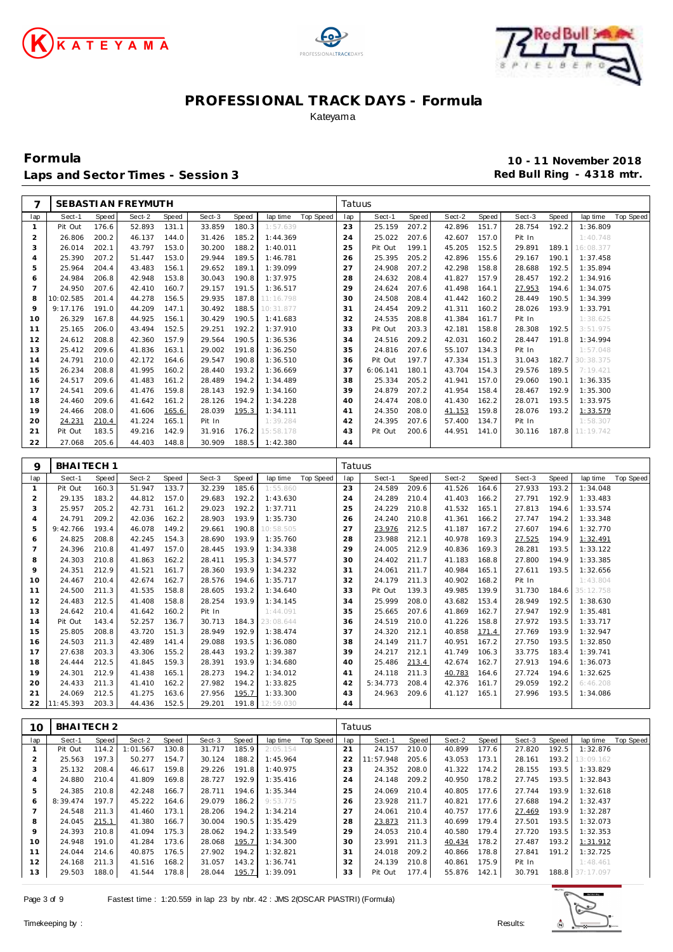





**Formula 10 - 11 November 2018** Laps and Sector Times - Session 3 **Red Bull Ring - 4318 mtr.** And Bull Ring - 4318 mtr.

| 7              |                       |                | SEBASTI AN FREYMUTH |                |                  |                |                      |                  | Tatuus   |                  |                |                              |       |                  |                |                      |                  |
|----------------|-----------------------|----------------|---------------------|----------------|------------------|----------------|----------------------|------------------|----------|------------------|----------------|------------------------------|-------|------------------|----------------|----------------------|------------------|
| lap            | Sect-1                | Speed          | Sect-2              | Speed          | Sect-3           | Speed          | lap time             | <b>Top Speed</b> | lap      | Sect-1           | Speed          | Sect-2                       | Speed | Sect-3           | Speed          | lap time             | <b>Top Speed</b> |
| $\mathbf{1}$   | Pit Out               | 176.6          | 52.893              | 131.1          | 33.859           | 180.3          | 1:57.639             |                  | 23       | 25.159           | 207.2          | 42.896                       | 151.7 | 28.754           | 192.2          | 1:36.809             |                  |
| $\overline{c}$ | 26.806                | 200.2          | 46.137              | 144.0          | 31.426           | 185.2          | 1:44.369             |                  | 24       | 25.022           | 207.6          | 42.607                       | 157.0 | Pit In           |                | 1:40.748             |                  |
| 3              | 26.014                | 202.1          | 43.797              | 153.0          | 30.200           | 188.2          | 1:40.011             |                  | 25       | Pit Out          | 199.1          | 45.205                       | 152.5 | 29.891           | 189.1          | 16:08.377            |                  |
| 4              | 25.390                | 207.2          | 51.447              | 153.0          | 29.944           | 189.5          | 1:46.781             |                  | 26       | 25.395           | 205.2          | 42.896                       | 155.6 | 29.167           | 190.1          | 1:37.458             |                  |
| 5              | 25.964                | 204.4          | 43.483              | 156.1          | 29.652           | 189.1          | 1:39.099             |                  | 27       | 24.908           | 207.2          | 42.298                       | 158.8 | 28.688           | 192.5          | 1:35.894             |                  |
| 6              | 24.984                | 206.8          | 42.948              | 153.8          | 30.043           | 190.8          | 1:37.975             |                  | 28       | 24.632           | 208.4          | 41.827                       | 157.9 | 28.457           | 192.2          | 1:34.916             |                  |
| $\overline{7}$ | 24.950                | 207.6          | 42.410              | 160.7          | 29.157           | 191.5          | 1:36.517             |                  | 29       | 24.624           | 207.6          | 41.498                       | 164.1 | 27.953           | 194.6          | 1:34.075             |                  |
| 8              | 10:02.585             | 201.4          | 44.278              | 156.5          | 29.935           | 187.8          | 11:16.798            |                  | 30       | 24.508           | 208.4          | 41.442                       | 160.2 | 28.449           | 190.5          | 1:34.399             |                  |
| 9              | 9:17.176              | 191.0          | 44.209              | 147.1          | 30.492           | 188.5          | 10:31.877            |                  | 31       | 24.454           | 209.2          | 41.311                       | 160.2 | 28.026           | 193.9          | 1:33.791             |                  |
| 10             | 26.329                | 167.8          | 44.925              | 156.1          | 30.429           | 190.5          | 1:41.683             |                  | 32       | 24.535           | 208.8          | 41.384                       | 161.7 | Pit In           |                | 1:38.625             |                  |
| 11             | 25.165                | 206.0          | 43.494              | 152.5          | 29.251           | 192.2          | 1:37.910             |                  | 33       | Pit Out          | 203.3          | 42.181                       | 158.8 | 28.308           | 192.5          | 3:51.975             |                  |
| 12             | 24.612                | 208.8          | 42.360              | 157.9          | 29.564           | 190.5          | 1:36.536             |                  | 34       | 24.516           | 209.2          | 42.031                       | 160.2 | 28.447           | 191.8          | 1:34.994             |                  |
| 13             | 25.412                | 209.6          | 41.836              | 163.1          | 29.002           | 191.8          | 1:36.250             |                  | 35       | 24.816           | 207.6          | 55.107                       | 134.3 | Pit In           |                | 1:57.048             |                  |
| 14             | 24.791                | 210.0          | 42.172              | 164.6          | 29.547           | 190.8          | 1:36.510             |                  | 36       | Pit Out          | 197.7          | 47.334                       | 151.3 | 31.043           | 182.7          | 30:38.375            |                  |
| 15             | 26.234                | 208.8          | 41.995              | 160.2          | 28.440           | 193.2          | 1:36.669             |                  | 37       | 6:06.141         | 180.1          | 43.704                       | 154.3 | 29.576           | 189.5          | 7:19.421             |                  |
| 16             | 24.517                | 209.6          | 41.483              | 161.2          | 28.489           | 194.2          | 1:34.489             |                  | 38       | 25.334           | 205.2          | 41.941                       | 157.0 | 29.060           | 190.1          | 1:36.335             |                  |
| 17             | 24.541                | 209.6          | 41.476              | 159.8          | 28.143           | 192.9          | 1:34.160             |                  | 39       | 24.879           | 207.2          | 41.954                       | 158.4 | 28.467           | 192.9          | 1:35.300             |                  |
| 18             | 24.460                | 209.6          | 41.642              | 161.2          | 28.126           | 194.2          | 1:34.228             |                  | 40       | 24.474           | 208.0          | 41.430                       | 162.2 | 28.071           | 193.5          | 1:33.975             |                  |
| 19             | 24.466                | 208.0          | 41.606              | 165.6          | 28.039           | 195.3          | 1:34.111             |                  | 41       | 24.350           | 208.0          | 41.153                       | 159.8 | 28.076           | 193.2          | 1:33.579             |                  |
| 20             | 24.231                | 210.4          | 41.224              | 165.1          | Pit In           |                | 1:39.284             |                  | 42       | 24.395           | 207.6          | 57.400                       | 134.7 | Pit In           |                | 1:58.307             |                  |
| 21             | Pit Out               | 183.5          | 49.216              | 142.9          | 31.916           | 176.2          | 15:58.178            |                  | 43       | Pit Out          | 200.6          | 44.951                       | 141.0 | 30.116           | 187.8          | 11:19.742            |                  |
| 22             | 27.068                | 205.6          | 44.403              | 148.8          | 30.909           | 188.5          | 1:42.380             |                  | 44       |                  |                |                              |       |                  |                |                      |                  |
|                |                       |                |                     |                |                  |                |                      |                  |          |                  |                |                              |       |                  |                |                      |                  |
| 9              | BHAITECH <sub>1</sub> |                |                     |                |                  |                |                      |                  | Tatuus   |                  |                |                              |       |                  |                |                      |                  |
| lap            | Sect-1                | Speed          | Sect-2              | Speed          | Sect-3           | Speed          | lap time             | <b>Top Speed</b> | lap      | Sect-1           | Speed          | Sect-2                       | Speed | Sect-3           | Speed          | lap time             | <b>Top Speed</b> |
| $\mathbf{1}$   | Pit Out               | 160.3          | 51.947              | 133.7          | 32.239           | 185.6          | 1:55.860             |                  | 23       | 24.589           | 209.6          | 41.526                       | 164.6 | 27.933           | 193.2          | 1:34.048             |                  |
| $\overline{2}$ | 29.135                | 183.2          | 44.812              | 157.0          | 29.683           | 192.2          | 1:43.630             |                  | 24       | 24.289           | 210.4          | 41.403                       | 166.2 | 27.791           | 192.9          | 1:33.483             |                  |
| 3              | 25.957                | 205.2          | 42.731              | 161.2          | 29.023           | 192.2          | 1:37.711             |                  | 25       | 24.229           | 210.8          | 41.532                       | 165.1 | 27.813           | 194.6          | 1:33.574             |                  |
| 4              | 24.791                | 209.2          | 42.036              | 162.2          | 28.903           | 193.9          | 1:35.730             |                  | 26       | 24.240           | 210.8          | 41.361                       | 166.2 | 27.747           | 194.2          | 1:33.348             |                  |
|                |                       |                |                     |                |                  |                |                      |                  |          |                  |                |                              |       |                  |                |                      |                  |
| 5              | 9:42.766              | 193.4          | 46.078              | 149.2          | 29.661           | 190.8          | 10:58.505            |                  | 27       | 23.976           | 212.5          | 41.187                       | 167.2 | 27.607           | 194.6          | 1:32.770             |                  |
| 6              | 24.825                | 208.8          | 42.245              | 154.3          | 28.690           | 193.9          | 1:35.760             |                  | 28       | 23.988           | 212.1          | 40.978                       | 169.3 | 27.525           | 194.9          | 1:32.491             |                  |
| $\overline{7}$ | 24.396                | 210.8          | 41.497              | 157.0          | 28.445           | 193.9          | 1:34.338             |                  | 29       | 24.005           | 212.9          | 40.836                       | 169.3 | 28.281           | 193.5          | 1:33.122             |                  |
| 8              | 24.303                | 210.8          | 41.863              | 162.2          | 28.411           | 195.3          | 1:34.577             |                  | 30       | 24.402           | 211.7          | 41.183                       | 168.8 | 27.800           | 194.9          | 1:33.385             |                  |
| 9              | 24.351                | 212.9          | 41.521              | 161.7          | 28.360           | 193.9          | 1:34.232             |                  | 31       | 24.061           | 211.7          | 40.984                       | 165.1 | 27.611           | 193.5          | 1:32.656             |                  |
| 10             | 24.467                | 210.4          | 42.674              | 162.7          | 28.576           | 194.6          | 1:35.717             |                  | 32       | 24.179           | 211.3          | 40.902                       | 168.2 | Pit In           |                | 1:43.804             |                  |
| 11             | 24.500                | 211.3          | 41.535              | 158.8          | 28.605           | 193.2          | 1:34.640             |                  | 33       | Pit Out          | 139.3          | 49.985                       | 139.9 | 31.730           | 184.6          | 35:12.758            |                  |
| 12             | 24.483                | 212.5          | 41.408              | 158.8          | 28.254           | 193.9          | 1:34.145             |                  | 34       | 25.999           | 208.0          | 43.682                       | 153.4 | 28.949           | 192.5          | 1:38.630             |                  |
| 13             | 24.642                | 210.4          | 41.642              | 160.2          | Pit In           |                | 1:44.091             |                  | 35       | 25.665           | 207.6          | 41.869                       | 162.7 | 27.947           | 192.9          | 1:35.481             |                  |
| 14             | Pit Out               | 143.4          | 52.257              | 136.7          | 30.713           | 184.3          | 23:08.644            |                  | 36       | 24.519           | 210.0          | 41.226                       | 158.8 | 27.972           | 193.5          | 1:33.717             |                  |
| 15             | 25.805                | 208.8          | 43.720              | 151.3          | 28.949           | 192.9          | 1:38.474             |                  | 37       | 24.320           | 212.1          | 40.858                       | 171.4 | 27.769           | 193.9          | 1:32.947             |                  |
| 16             | 24.503                | 211.3          | 42.489              | 141.4          | 29.088           | 193.5          | 1:36.080             |                  | 38       | 24.149           | 211.7          | 40.951                       | 167.2 | 27.750           | 193.5          | 1:32.850             |                  |
| 17             | 27.638                | 203.3          | 43.306              | 155.2          | 28.443           | 193.2          | 1:39.387             |                  | 39       | 24.217           | 212.1          | 41.749                       | 106.3 | 33.775           | 183.4          | 1:39.741             |                  |
| 18             | 24.444                | 212.5          | 41.845              | 159.3          | 28.391           | 193.9          | 1:34.680             |                  | 40       | 25.486           | 213.4          | 42.674                       | 162.7 | 27.913           | 194.6          | 1:36.073             |                  |
| 19             | 24.301                | 212.9          | 41.438              | 165.1          | 28.273           | 194.2          | 1:34.012             |                  | 41       | 24.118           | 211.3          | 40.783                       | 164.6 | 27.724           | 194.6          | 1:32.625             |                  |
| 20             | 24.433                | 211.3          | 41.410              | 162.2          | 27.982           | 194.2          | 1:33.825             |                  | 42       | 5:34.773         | 208.4          | 42.376                       | 161.7 | 29.059           | 192.2          | 6:46.208             |                  |
| 21             | 24.069                | 212.5          | 41.275              | 163.6          | 27.956           | 195.7          | 1:33.300             |                  | 43       | 24.963           | 209.6          | 41.127                       | 165.1 | 27.996           | 193.5          | 1:34.086             |                  |
|                | 22 11:45.393          | 203.3          | 44.436              | 152.5          | 29.201           | 191.8          | 12:59.030            |                  | 44       |                  |                |                              |       |                  |                |                      |                  |
|                |                       |                |                     |                |                  |                |                      |                  |          |                  |                |                              |       |                  |                |                      |                  |
| 10             | BHAITECH <sub>2</sub> |                |                     |                |                  |                |                      |                  | Tatuus   |                  |                |                              |       |                  |                |                      |                  |
| lap            | Sect-1                | Speed          | Sect-2              | Speed          | Sect-3           | Speed          | lap time             | Top Speed        | lap      | Sect-1           | Speed          | Sect-2                       | Speed | Sect-3           | Speed          | lap time             | Top Speed        |
| $\mathbf{1}$   | Pit Out               | 114.2          | 1:01.567            | 130.8          | 31.717           | 185.9          | 2:05.154             |                  | 21       | 24.157           | 210.0          | 40.899                       | 177.6 | 27.820           | 192.5          | 1:32.876             |                  |
| $\overline{c}$ | 25.563                | 197.3          | 50.277              | 154.7          | 30.124           | 188.2          | 1:45.964             |                  | 22       | 11:57.948        | 205.6          | 43.053 173.1                 |       | 28.161           | 193.2          | 13:09.162            |                  |
| 3<br>4         | 25.132<br>24.880      | 208.4<br>210.4 | 46.617<br>41.809    | 159.8<br>169.8 | 29.226<br>28.727 | 191.8<br>192.9 | 1:40.975<br>1:35.416 |                  | 23<br>24 | 24.352<br>24.148 | 208.0<br>209.2 | 41.322 174.2<br>40.950 178.2 |       | 28.155<br>27.745 | 193.5<br>193.5 | 1:33.829<br>1:32.843 |                  |

 24.385 210.8 42.248 166.7 28.711 194.6 1:35.344 8:39.474 197.7 45.222 164.6 29.079 186.2 9:53.775 24.548 211.3 41.460 173.1 28.206 194.2 1:34.214 24.045 215.1 41.380 166.7 30.004 190.5 1:35.429 24.393 210.8 41.094 175.3 28.062 194.2 1:33.549 24.948 191.0 41.284 173.6 28.068 195.7 1:34.300 24.044 214.6 40.875 176.5 27.902 194.2 1:32.821 24.168 211.3 41.516 168.2 31.057 143.2 1:36.741 29.503 188.0 41.544 178.8 28.044 195.7 1:39.091 24.069 210.4 40.805 177.6 27.744 193.9 1:32.618 23.928 211.7 40.821 177.6 27.688 194.2 1:32.437 24.061 210.4 40.757 177.6 27.469 193.9 1:32.287 23.873 211.3 40.699 179.4 27.501 193.5 1:32.073 24.053 210.4 40.580 179.4 27.720 193.5 1:32.353 23.991 211.3 40.434 178.2 27.487 193.2 1:31.912 24.018 209.2 40.866 178.8 27.841 191.2 1:32.725 24.139 210.8 40.861 175.9 Pit In 1:48.461 Pit Out 177.4 55.876 142.1 30.791 188.8 37:17.097

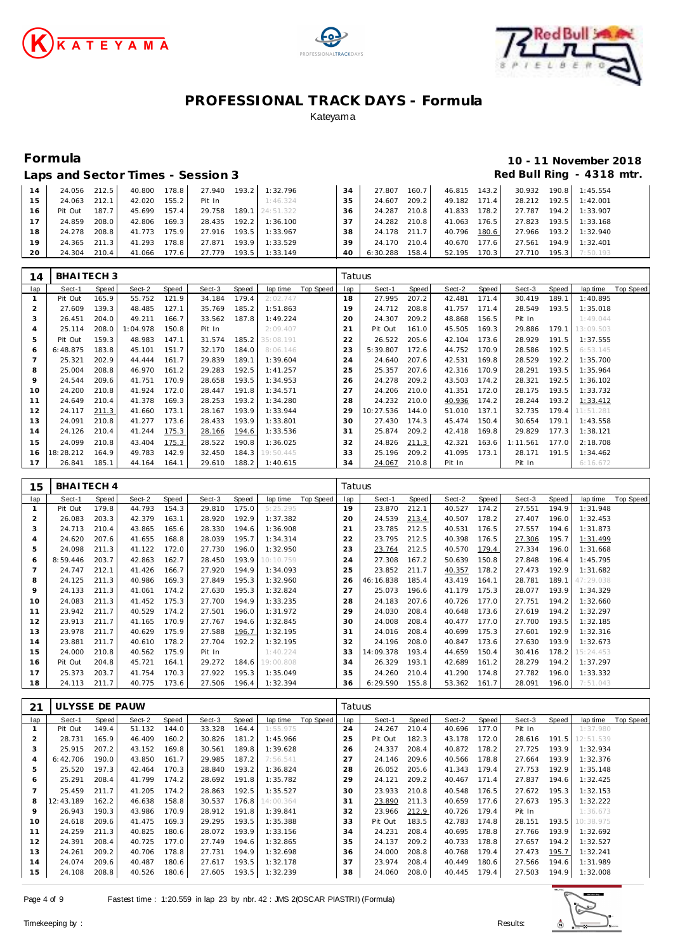





### **Formula 10 - 11 November 2018** Red Bull Ring - 4318 mtr.

|  | Laps and Sector Times - Session 3 |
|--|-----------------------------------|
|--|-----------------------------------|

| $\overline{A}$ | 24.056  | 212.5 | 40.800 | 178.8              | 27.940 | 193.2 | 1:32.796  | 34 | 27.807   | 160.7 | 46.815 | 143.2              | 30.932 | 190.8 | 1:45.554 |
|----------------|---------|-------|--------|--------------------|--------|-------|-----------|----|----------|-------|--------|--------------------|--------|-------|----------|
| -5             | 24.063  | 212.1 | 42.020 | 155.2 <sub>1</sub> | Pit In |       | 1:46.324  | 35 | 24.607   | 209.2 | 49.182 | 171.4              | 28.212 | 192.5 | 1:42.001 |
| 6              | Pit Out | 187.7 | 45.699 | 157.4              | 29.758 | 189.1 | 24:51.322 | 36 | 24.287   | 210.8 | 41.833 | 178.2              | 27.787 | 194.2 | 1:33.907 |
| 17             | 24.859  | 208.0 | 42.806 | 169.3              | 28.435 | 192.2 | 1:36.100  | 37 | 24.282   | 210.8 | 41.063 | 176.5              | 27.823 | 193.5 | 1:33.168 |
| 18             | 24.278  | 208.8 | 41.773 | 175.9              | 27.916 | 193.5 | 1:33.967  | 38 | 24.178   | 211.7 | 40.796 | 180.6              | 27.966 | 193.2 | 1:32.940 |
| 19             | 24.365  | 211.3 | 41.293 | 178.8              | 27.871 | 193.9 | 1:33.529  | 39 | 24.170   | 210.4 | 40.670 | 177.6              | 27.561 | 194.9 | 1:32.401 |
| 20             | 24.304  | 210.4 | 41.066 | 177.6              | 27.779 | 193.5 | 1:33.149  | 40 | 6:30.288 | 158.4 | 52.195 | 170.3 <sub>1</sub> | 27.710 | 195.3 | 7:50.193 |

| 14             | BHAITECH <sub>3</sub> |       |          |       |        |       |           |           | Tatuus         |           |       |        |       |          |       |           |           |
|----------------|-----------------------|-------|----------|-------|--------|-------|-----------|-----------|----------------|-----------|-------|--------|-------|----------|-------|-----------|-----------|
| lap            | Sect-1                | Speed | Sect-2   | Speed | Sect-3 | Speed | lap time  | Top Speed | lap            | Sect-1    | Speed | Sect-2 | Speed | Sect-3   | Speed | lap time  | Top Speed |
|                | Pit Out               | 165.9 | 55.752   | 121.9 | 34.184 | 179.4 | 2:02.747  |           | 18             | 27.995    | 207.2 | 42.481 | 171.4 | 30.419   | 189.1 | 1:40.895  |           |
| 2              | 27.609                | 139.3 | 48.485   | 127.1 | 35.769 | 185.2 | 1:51.863  |           | 19             | 24.712    | 208.8 | 41.757 | 171.4 | 28.549   | 193.5 | 1:35.018  |           |
| 3              | 26.451                | 204.0 | 49.211   | 166.7 | 33.562 | 187.8 | 1:49.224  |           | 20             | 24.307    | 209.2 | 48.868 | 156.5 | Pit In   |       | 1:49.044  |           |
| 4              | 25.114                | 208.0 | : 04.978 | 150.8 | Pit In |       | 2:09.407  |           | $2^{\cdot}$    | Pit Out   | 161.0 | 45.505 | 169.3 | 29.886   | 179.1 | 13:09.503 |           |
| 5              | Pit Out               | 159.3 | 48.983   | 147.1 | 31.574 | 185.2 | 35:08.191 |           | 22             | 26.522    | 205.6 | 42.104 | 173.6 | 28.929   | 191.5 | 1:37.555  |           |
| 6              | 6:48.875              | 183.8 | 45.101   | 151.7 | 32.170 | 184.0 | 8:06.146  |           | 23             | 5:39.807  | 172.6 | 44.752 | 170.9 | 28.586   | 192.5 | 6:53.145  |           |
| $\overline{7}$ | 25.321                | 202.9 | 44.444   | 161.7 | 29.839 | 189.1 | 1:39.604  |           | 24             | 24.640    | 207.6 | 42.531 | 169.8 | 28.529   | 192.2 | 1:35.700  |           |
| 8              | 25.004                | 208.8 | 46.970   | 161.2 | 29.283 | 192.5 | 1:41.257  |           | 25             | 25.357    | 207.6 | 42.316 | 170.9 | 28.291   | 193.5 | 1:35.964  |           |
| 9              | 24.544                | 209.6 | 41.751   | 170.9 | 28.658 | 193.5 | 1:34.953  |           | 26             | 24.278    | 209.2 | 43.503 | 174.2 | 28.321   | 192.5 | 1:36.102  |           |
| 10             | 24.200                | 210.8 | 41.924   | 172.0 | 28.447 | 191.8 | 1:34.571  |           | 27             | 24.206    | 210.0 | 41.351 | 172.0 | 28.175   | 193.5 | 1:33.732  |           |
| 11             | 24.649                | 210.4 | 41.378   | 169.3 | 28.253 | 193.2 | 1:34.280  |           | 28             | 24.232    | 210.0 | 40.936 | 174.2 | 28.244   | 193.2 | 1:33.412  |           |
| 12             | 24.117                | 211.3 | 41.660   | 173.1 | 28.167 | 193.9 | 1:33.944  |           | 29             | 10:27.536 | 144.0 | 51.010 | 137.1 | 32.735   | 179.4 | 11:51.281 |           |
| 13             | 24.091                | 210.8 | 41.277   | 173.6 | 28.433 | 193.9 | 1:33.801  |           | 30             | 27.430    | 174.3 | 45.474 | 150.4 | 30.654   | 179.1 | 1:43.558  |           |
| 14             | 24.126                | 210.4 | 41.244   | 175.3 | 28.166 | 194.6 | 1:33.536  |           | 3 <sup>2</sup> | 25.874    | 209.2 | 42.418 | 169.8 | 29.829   | 177.3 | 1:38.121  |           |
| 15             | 24.099                | 210.8 | 43.404   | 175.3 | 28.522 | 190.8 | 1:36.025  |           | 32             | 24.826    | 211.3 | 42.321 | 163.6 | 1:11.561 | 177.0 | 2:18.708  |           |
| 16             | 18:28.212             | 164.9 | 49.783   | 142.9 | 32.450 | 184.3 | 19:50.445 |           | 33             | 25.196    | 209.2 | 41.095 | 173.1 | 28.171   | 191.5 | 1:34.462  |           |
| 17             | 26.841                | 185.1 | 44.164   | 164.1 | 29.610 | 188.2 | 1:40.615  |           | 34             | 24.067    | 210.8 | Pit In |       | Pit In   |       | 6:16.672  |           |

| 15             | BHAITECH 4 |       |        |       |        |       |           |           | Tatuus         |           |       |        |       |        |       |           |                  |
|----------------|------------|-------|--------|-------|--------|-------|-----------|-----------|----------------|-----------|-------|--------|-------|--------|-------|-----------|------------------|
| lap            | Sect-1     | Speed | Sect-2 | Speed | Sect-3 | Speed | lap time  | Top Speed | lap            | Sect-1    | Speed | Sect-2 | Speed | Sect-3 | Speed | lap time  | <b>Top Speed</b> |
|                | Pit Out    | 179.8 | 44.793 | 154.3 | 29.810 | 175.0 | 5:25.295  |           | 19             | 23.870    | 212.1 | 40.527 | 174.2 | 27.551 | 194.9 | 1:31.948  |                  |
| $\overline{c}$ | 26.083     | 203.3 | 42.379 | 163.1 | 28.920 | 192.9 | 1:37.382  |           | 20             | 24.539    | 213.4 | 40.507 | 178.2 | 27.407 | 196.0 | 1:32.453  |                  |
| 3              | 24.713     | 210.4 | 43.865 | 165.6 | 28.330 | 194.6 | 1:36.908  |           | 2 <sup>1</sup> | 23.785    | 212.5 | 40.531 | 176.5 | 27.557 | 194.6 | 1:31.873  |                  |
| 4              | 24.620     | 207.6 | 41.655 | 168.8 | 28.039 | 195.7 | 1:34.314  |           | 22             | 23.795    | 212.5 | 40.398 | 176.5 | 27.306 | 195.7 | 1:31.499  |                  |
| 5              | 24.098     | 211.3 | 41.122 | 172.0 | 27.730 | 196.0 | 1:32.950  |           | 23             | 23.764    | 212.5 | 40.570 | 179.4 | 27.334 | 196.0 | 1:31.668  |                  |
| 6              | 8:59.446   | 203.7 | 42.863 | 162.7 | 28.450 | 193.9 | 10:10.759 |           | 24             | 27.308    | 167.2 | 50.639 | 150.8 | 27.848 | 196.4 | 1:45.795  |                  |
|                | 24.747     | 212.1 | 41.426 | 166.7 | 27.920 | 194.9 | 1:34.093  |           | 25             | 23.852    | 211.7 | 40.357 | 178.2 | 27.473 | 192.9 | 1:31.682  |                  |
| 8              | 24.125     | 211.3 | 40.986 | 169.3 | 27.849 | 195.3 | 1:32.960  |           | 26             | 46:16.838 | 185.4 | 43.419 | 164.1 | 28.781 | 189.1 | 47:29.038 |                  |
| 9              | 24.133     | 211.3 | 41.061 | 174.2 | 27.630 | 195.3 | 1:32.824  |           | 27             | 25.073    | 196.6 | 41.179 | 175.3 | 28.077 | 193.9 | 1:34.329  |                  |
| 10             | 24.083     | 211.3 | 41.452 | 175.3 | 27.700 | 194.9 | 1:33.235  |           | 28             | 24.183    | 207.6 | 40.726 | 177.0 | 27.751 | 194.2 | 1:32.660  |                  |
| 11             | 23.942     | 211.7 | 40.529 | 174.2 | 27.501 | 196.0 | 1:31.972  |           | 29             | 24.030    | 208.4 | 40.648 | 173.6 | 27.619 | 194.2 | 1:32.297  |                  |
| 12             | 23.913     | 211.7 | 41.165 | 170.9 | 27.767 | 194.6 | 1:32.845  |           | 30             | 24.008    | 208.4 | 40.477 | 177.0 | 27.700 | 193.5 | 1:32.185  |                  |
| 13             | 23.978     | 211.7 | 40.629 | 175.9 | 27.588 | 196.7 | 1:32.195  |           | 31             | 24.016    | 208.4 | 40.699 | 175.3 | 27.601 | 192.9 | 1:32.316  |                  |
| 14             | 23.881     | 211.7 | 40.610 | 178.2 | 27.704 | 192.2 | 1:32.195  |           | 32             | 24.196    | 208.0 | 40.847 | 173.6 | 27.630 | 193.9 | 1:32.673  |                  |
| 15             | 24.000     | 210.8 | 40.562 | 175.9 | Pit In |       | 1:40.224  |           | 33             | 14:09.378 | 193.4 | 44.659 | 150.4 | 30.416 | 178.2 | 15:24.453 |                  |
| 16             | Pit Out    | 204.8 | 45.721 | 164.1 | 29.272 | 184.6 | 19:00.808 |           | 34             | 26.329    | 193.1 | 42.689 | 161.2 | 28.279 | 194.2 | 1:37.297  |                  |
| 17             | 25.373     | 203.7 | 41.754 | 170.3 | 27.922 | 195.3 | 1:35.049  |           | 35             | 24.260    | 210.4 | 41.290 | 174.8 | 27.782 | 196.0 | 1:33.332  |                  |
| 18             | 24.113     | 211.7 | 40.775 | 173.6 | 27.506 | 196.4 | 1:32.394  |           | 36             | 6:29.590  | 155.8 | 53.362 | 161.7 | 28.091 | 196.0 | 7:51.043  |                  |

| 21  | ULYSSE DE PAUW |       |        |       |        |       |                 |           | Tatuus |         |       |        |       |        |       |           |           |
|-----|----------------|-------|--------|-------|--------|-------|-----------------|-----------|--------|---------|-------|--------|-------|--------|-------|-----------|-----------|
| lap | Sect-1         | Speed | Sect-2 | Speed | Sect-3 | Speed | lap time        | Top Speed | lap    | Sect-1  | Speed | Sect-2 | Speed | Sect-3 | Speed | lap time  | Top Speed |
|     | Pit Out        | 149.4 | 51.132 | 144.0 | 33.328 | 164.4 | 1:55.975        |           | 24     | 24.267  | 210.4 | 40.696 | 177.0 | Pit In |       | 1:37.980  |           |
| 2   | 28.731         | 165.9 | 46.409 | 160.2 | 30.826 | 181.2 | 1:45.966        |           | 25     | Pit Out | 182.3 | 43.178 | 172.0 | 28.616 | 191.5 | 12:51.539 |           |
| 3   | 25.915         | 207.2 | 43.152 | 169.8 | 30.561 | 189.8 | 1:39.628        |           | 26     | 24.337  | 208.4 | 40.872 | 178.2 | 27.725 | 193.9 | 1:32.934  |           |
| 4   | 6:42.706       | 190.0 | 43.850 | 161.7 | 29.985 | 187.2 | 7:56.541        |           | 27     | 24.146  | 209.6 | 40.566 | 178.8 | 27.664 | 193.9 | 1:32.376  |           |
| 5   | 25.520         | 197.3 | 42.464 | 170.3 | 28.840 | 193.2 | 1:36.824        |           | 28     | 26.052  | 205.6 | 41.343 | 179.4 | 27.753 | 192.9 | 1:35.148  |           |
| 6   | 25.291         | 208.4 | 41.799 | 174.2 | 28.692 | 191.8 | 1:35.782        |           | 29     | 24.121  | 209.2 | 40.467 | 171.4 | 27.837 | 194.6 | 1:32.425  |           |
|     | 25.459         | 211.7 | 41.205 | 174.2 | 28.863 | 192.5 | 1:35.527        |           | 30     | 23.933  | 210.8 | 40.548 | 176.5 | 27.672 | 195.3 | 1:32.153  |           |
| 8   | 12:43.189      | 162.2 | 46.638 | 158.8 | 30.537 |       | 176.8 14:00.364 |           | 31     | 23.890  | 211.3 | 40.659 | 177.6 | 27.673 | 195.3 | 1:32.222  |           |
| 9   | 26.943         | 190.3 | 43.986 | 170.9 | 28.912 | 191.8 | 1:39.841        |           | 32     | 23.966  | 212.9 | 40.726 | 179.4 | Pit In |       | 1:36.673  |           |
| 10  | 24.618         | 209.6 | 41.475 | 169.3 | 29.295 | 193.5 | 1:35.388        |           | 33     | Pit Out | 183.5 | 42.783 | 174.8 | 28.151 | 193.5 | 10:38.975 |           |
| 11  | 24.259         | 211.3 | 40.825 | 180.6 | 28.072 | 193.9 | 1:33.156        |           | 34     | 24.231  | 208.4 | 40.695 | 178.8 | 27.766 | 193.9 | 1:32.692  |           |
| 12  | 24.391         | 208.4 | 40.725 | 177.0 | 27.749 | 194.6 | 1:32.865        |           | 35     | 24.137  | 209.2 | 40.733 | 178.8 | 27.657 | 194.2 | 1:32.527  |           |
| 13  | 24.261         | 209.2 | 40.706 | 178.8 | 27.731 | 194.9 | 1:32.698        |           | 36     | 24.000  | 208.8 | 40.768 | 179.4 | 27.473 | 195.7 | 1:32.241  |           |
| 14  | 24.074         | 209.6 | 40.487 | 180.6 | 27.617 | 193.5 | 1:32.178        |           | 37     | 23.974  | 208.4 | 40.449 | 180.6 | 27.566 | 194.6 | 1:31.989  |           |
| 15  | 24.108         | 208.8 | 40.526 | 180.6 | 27.605 | 193.5 | 1:32.239        |           | 38     | 24.060  | 208.0 | 40.445 | 179.4 | 27.503 | 194.9 | 1:32.008  |           |

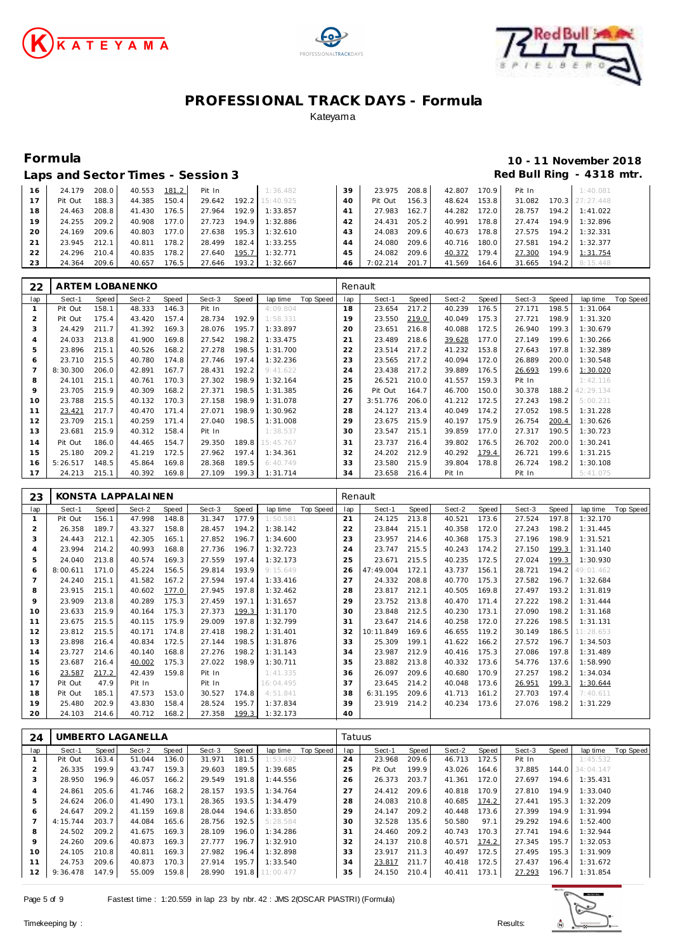





# **Formula 10 - 11 November 2018**

|    |         |       | Laps and Sector Times - Session 3 |       |        |       |           |    |          |       |        |                        |        |       | Red Bull Ring - 4318 |
|----|---------|-------|-----------------------------------|-------|--------|-------|-----------|----|----------|-------|--------|------------------------|--------|-------|----------------------|
|    |         |       |                                   |       |        |       |           |    |          |       |        |                        |        |       |                      |
| 16 | 24.179  | 208.0 | 40.553                            | 181.2 | Pit In |       | 1:36.482  | 39 | 23.975   | 208.8 | 42.807 | 170.9                  | Pit In |       | 1:40.081             |
| 17 | Pit Out | 188.3 | 44.385                            | 150.4 | 29.642 | 192.2 | 15:40.925 | 40 | Pit Out  | 156.3 | 48.624 | $153.8$ $\blacksquare$ | 31.082 |       | 170.3 27:27.448      |
| 18 | 24.463  | 208.8 | 41.430                            | 176.5 | 27.964 | 192.9 | 1:33.857  | 41 | 27.983   | 162.7 | 44.282 | 172.0                  | 28.757 | 194.2 | 1:41.022             |
| 19 | 24.255  | 209.2 | 40.908                            | 177.0 | 27.723 | 194.9 | 1:32.886  | 42 | 24.431   | 205.2 | 40.991 | 178.8                  | 27.474 | 194.9 | 1:32.896             |
| 20 | 24.169  | 209.6 | 40.803                            | 177.0 | 27.638 | 195.3 | 1:32.610  | 43 | 24.083   | 209.6 | 40.673 | 178.8                  | 27.575 | 194.2 | 1:32.331             |
| 21 | 23.945  | 212.1 | 40.811                            | 178.2 | 28.499 | 182.4 | 1:33.255  | 44 | 24.080   | 209.6 | 40.716 | 180.0                  | 27.581 | 194.2 | 1:32.377             |
| 22 | 24.296  | 210.4 | 40.835                            | 178.2 | 27.640 | 195.7 | 1:32.771  | 45 | 24.082   | 209.6 | 40.372 | 179.4                  | 27.300 | 194.9 | 1:31.754             |
| 23 | 24.364  | 209.6 | 40.657                            | 176.5 | 27.646 | 193.2 | 1:32.667  | 46 | 7:02.214 | 201.7 | 41.569 | 164.6                  | 31.665 | 194.2 | 8:15.448             |

| 22             |          |       | ARTEM LOBANENKO |       |        |       |           |           | Renault |          |       |        |       |        |       |           |                  |
|----------------|----------|-------|-----------------|-------|--------|-------|-----------|-----------|---------|----------|-------|--------|-------|--------|-------|-----------|------------------|
| lap            | Sect-1   | Speed | Sect-2          | Speed | Sect-3 | Speed | lap time  | Top Speed | lap     | Sect-1   | Speed | Sect-2 | Speed | Sect-3 | Speed | lap time  | <b>Top Speed</b> |
|                | Pit Out  | 158.1 | 48.333          | 146.3 | Pit In |       | 4:09.804  |           | 18      | 23.654   | 217.2 | 40.239 | 176.5 | 27.171 | 198.5 | 1:31.064  |                  |
| 2              | Pit Out  | 175.4 | 43.420          | 157.4 | 28.734 | 192.9 | 1:58.331  |           | 19      | 23.550   | 219.0 | 40.049 | 175.3 | 27.721 | 198.9 | 1:31.320  |                  |
| 3              | 24.429   | 211.7 | 41.392          | 169.3 | 28.076 | 195.7 | 1:33.897  |           | 20      | 23.651   | 216.8 | 40.088 | 172.5 | 26.940 | 199.3 | 1:30.679  |                  |
| 4              | 24.033   | 213.8 | 41.900          | 169.8 | 27.542 | 198.2 | 1:33.475  |           | 21      | 23.489   | 218.6 | 39.628 | 177.0 | 27.149 | 199.6 | 1:30.266  |                  |
| 5              | 23.896   | 215.1 | 40.526          | 168.2 | 27.278 | 198.5 | 1:31.700  |           | 22      | 23.514   | 217.2 | 41.232 | 153.8 | 27.643 | 197.8 | 1:32.389  |                  |
| 6              | 23.710   | 215.5 | 40.780          | 174.8 | 27.746 | 197.4 | 1:32.236  |           | 23      | 23.565   | 217.2 | 40.094 | 172.0 | 26.889 | 200.0 | 1:30.548  |                  |
| $\overline{7}$ | 8:30.300 | 206.0 | 42.891          | 167.7 | 28.431 | 192.2 | 9:41.622  |           | 24      | 23.438   | 217.2 | 39.889 | 176.5 | 26.693 | 199.6 | 1:30.020  |                  |
| 8              | 24.101   | 215.1 | 40.761          | 170.3 | 27.302 | 198.9 | 1:32.164  |           | 25      | 26.521   | 210.0 | 41.557 | 159.3 | Pit In |       | 1:42.116  |                  |
| $\circ$        | 23.705   | 215.9 | 40.309          | 168.2 | 27.371 | 198.5 | 1:31.385  |           | 26      | Pit Out  | 164.7 | 46.700 | 150.0 | 30.378 | 188.2 | 42:29.134 |                  |
| 10             | 23.788   | 215.5 | 40.132          | 170.3 | 27.158 | 198.9 | 1:31.078  |           | 27      | 3:51.776 | 206.0 | 41.212 | 172.5 | 27.243 | 198.2 | 5:00.231  |                  |
| 11             | 23.421   | 217.7 | 40.470          | 171.4 | 27.071 | 198.9 | 1:30.962  |           | 28      | 24.127   | 213.4 | 40.049 | 174.2 | 27.052 | 198.5 | 1:31.228  |                  |
| 12             | 23.709   | 215.1 | 40.259          | 171.4 | 27.040 | 198.5 | 1:31.008  |           | 29      | 23.675   | 215.9 | 40.197 | 175.9 | 26.754 | 200.4 | 1:30.626  |                  |
| 13             | 23.681   | 215.9 | 40.312          | 158.4 | Pit In |       | 1:38.537  |           | 30      | 23.547   | 215.1 | 39.859 | 177.0 | 27.317 | 190.5 | 1:30.723  |                  |
| 14             | Pit Out  | 186.0 | 44.465          | 154.7 | 29.350 | 189.8 | 15:45.767 |           | 31      | 23.737   | 216.4 | 39.802 | 176.5 | 26.702 | 200.0 | 1:30.241  |                  |
| 15             | 25.180   | 209.2 | 41.219          | 172.5 | 27.962 | 197.4 | 1:34.361  |           | 32      | 24.202   | 212.9 | 40.292 | 179.4 | 26.721 | 199.6 | 1:31.215  |                  |
| 16             | 5:26.517 | 148.5 | 45.864          | 169.8 | 28.368 | 189.5 | 6:40.749  |           | 33      | 23.580   | 215.9 | 39.804 | 178.8 | 26.724 | 198.2 | 1:30.108  |                  |
| 17             | 24.213   | 215.1 | 40.392          | 169.8 | 27.109 | 199.3 | 1:31.714  |           | 34      | 23.658   | 216.4 | Pit In |       | Pit In |       | 5:41.075  |                  |

| 23                    |          |       | KONSTA LAPPALAINEN |       |        |       |           |           | Renault |           |              |        |       |        |       |           |           |
|-----------------------|----------|-------|--------------------|-------|--------|-------|-----------|-----------|---------|-----------|--------------|--------|-------|--------|-------|-----------|-----------|
| lap                   | Sect-1   | Speed | Sect-2             | Speed | Sect-3 | Speed | lap time  | Top Speed | lap     | Sect-1    | <b>Speed</b> | Sect-2 | Speed | Sect-3 | Speed | lap time  | Top Speed |
|                       | Pit Out  | 156.1 | 47.998             | 148.8 | 31.347 | 177.9 | 1:50.581  |           | 21      | 24.125    | 213.8        | 40.521 | 173.6 | 27.524 | 197.8 | 1:32.170  |           |
| $\overline{c}$        | 26.358   | 189.7 | 43.327             | 158.8 | 28.457 | 194.2 | 1:38.142  |           | 22      | 23.844    | 215.1        | 40.358 | 172.0 | 27.243 | 198.2 | 1:31.445  |           |
| 3                     | 24.443   | 212.1 | 42.305             | 165.1 | 27.852 | 196.7 | 1:34.600  |           | 23      | 23.957    | 214.6        | 40.368 | 175.3 | 27.196 | 198.9 | 1:31.521  |           |
| $\boldsymbol{\Delta}$ | 23.994   | 214.2 | 40.993             | 168.8 | 27.736 | 196.7 | 1:32.723  |           | 24      | 23.747    | 215.5        | 40.243 | 174.2 | 27.150 | 199.3 | 1:31.140  |           |
| 5                     | 24.040   | 213.8 | 40.574             | 169.3 | 27.559 | 197.4 | 1:32.173  |           | 25      | 23.671    | 215.5        | 40.235 | 172.5 | 27.024 | 199.3 | 1:30.930  |           |
| 6                     | 8:00.611 | 171.0 | 45.224             | 156.5 | 29.814 | 193.9 | 9:15.649  |           | 26      | 47:49.004 | 172.1        | 43.737 | 156.1 | 28.721 | 194.2 | 49:01.462 |           |
|                       | 24.240   | 215.1 | 41.582             | 167.2 | 27.594 | 197.4 | 1:33.416  |           | 27      | 24.332    | 208.8        | 40.770 | 175.3 | 27.582 | 196.7 | 1:32.684  |           |
| 8                     | 23.915   | 215.1 | 40.602             | 177.0 | 27.945 | 197.8 | 1:32.462  |           | 28      | 23.817    | 212.1        | 40.505 | 169.8 | 27.497 | 193.2 | 1:31.819  |           |
| 9                     | 23.909   | 213.8 | 40.289             | 175.3 | 27.459 | 197.1 | 1:31.657  |           | 29      | 23.752    | 213.8        | 40.470 | 171.4 | 27.222 | 198.2 | 1:31.444  |           |
| 10                    | 23.633   | 215.9 | 40.164             | 175.3 | 27.373 | 199.3 | 1:31.170  |           | 30      | 23.848    | 212.5        | 40.230 | 173.1 | 27.090 | 198.2 | 1:31.168  |           |
| 11                    | 23.675   | 215.5 | 40.115             | 175.9 | 29.009 | 197.8 | 1:32.799  |           | 31      | 23.647    | 214.6        | 40.258 | 172.0 | 27.226 | 198.5 | 1:31.131  |           |
| 12                    | 23.812   | 215.5 | 40.171             | 174.8 | 27.418 | 198.2 | 1:31.401  |           | 32      | 10:11.849 | 169.6        | 46.655 | 119.2 | 30.149 | 186.5 | 11:28.653 |           |
| 13                    | 23.898   | 216.4 | 40.834             | 172.5 | 27.144 | 198.5 | 1:31.876  |           | 33      | 25.309    | 199.1        | 41.622 | 166.2 | 27.572 | 196.7 | 1:34.503  |           |
| 14                    | 23.727   | 214.6 | 40.140             | 168.8 | 27.276 | 198.2 | 1:31.143  |           | 34      | 23.987    | 212.9        | 40.416 | 175.3 | 27.086 | 197.8 | 1:31.489  |           |
| 15                    | 23.687   | 216.4 | 40.002             | 175.3 | 27.022 | 198.9 | 1:30.711  |           | 35      | 23.882    | 213.8        | 40.332 | 173.6 | 54.776 | 137.6 | 1:58.990  |           |
| 16                    | 23.587   | 217.2 | 42.439             | 159.8 | Pit In |       | 1:41.335  |           | 36      | 26.097    | 209.6        | 40.680 | 170.9 | 27.257 | 198.2 | 1:34.034  |           |
| 17                    | Pit Out  | 47.9  | Pit In             |       | Pit In |       | 16:04.495 |           | 37      | 23.645    | 214.2        | 40.048 | 173.6 | 26.951 | 199.3 | 1:30.644  |           |
| 18                    | Pit Out  | 185.1 | 47.573             | 153.0 | 30.527 | 174.8 | 4:51.841  |           | 38      | 6:31.195  | 209.6        | 41.713 | 161.2 | 27.703 | 197.4 | 7:40.611  |           |
| 19                    | 25.480   | 202.9 | 43.830             | 158.4 | 28.524 | 195.7 | 1:37.834  |           | 39      | 23.919    | 214.2        | 40.234 | 173.6 | 27.076 | 198.2 | 1:31.229  |           |
| 20                    | 24.103   | 214.6 | 40.712             | 168.2 | 27.358 | 199.3 | 1:32.173  |           | 40      |           |              |        |       |        |       |           |           |

| 24  |          |       | UMBERTO LAGANELLA |       |        |       |                 |           | Tatuus |         |       |        |       |        |       |           |           |
|-----|----------|-------|-------------------|-------|--------|-------|-----------------|-----------|--------|---------|-------|--------|-------|--------|-------|-----------|-----------|
| lap | Sect-1   | Speed | Sect-2            | Speed | Sect-3 | Speed | lap time        | Top Speed | lap    | Sect-1  | Speed | Sect-2 | Speed | Sect-3 | Speed | lap time  | Top Speed |
|     | Pit Out  | 163.4 | 51.044            | 136.0 | 31.971 | 181.5 | 1:53.492        |           | 24     | 23.968  | 209.6 | 46.713 | 172.5 | Pit In |       | 1:45.532  |           |
|     | 26.335   | 199.9 | 43.747            | 159.3 | 29.603 | 189.5 | 1:39.685        |           | 25     | Pit Out | 199.9 | 43.026 | 164.6 | 37.885 | 144.0 | 34:04.147 |           |
| 3   | 28.950   | 196.9 | 46.057            | 166.2 | 29.549 | 191.8 | 1:44.556        |           | 26     | 26.373  | 203.7 | 41.361 | 172.0 | 27.697 | 194.6 | 1:35.431  |           |
| 4   | 24.861   | 205.6 | 41.746            | 168.2 | 28.157 | 193.5 | 1:34.764        |           | 27     | 24.412  | 209.6 | 40.818 | 170.9 | 27.810 | 194.9 | 1:33.040  |           |
| 5   | 24.624   | 206.0 | 41.490            | 173.1 | 28.365 | 193.5 | 1:34.479        |           | 28     | 24.083  | 210.8 | 40.685 | 174.2 | 27.441 | 195.3 | 1:32.209  |           |
| 6   | 24.647   | 209.2 | 41.159            | 169.8 | 28.044 | 194.6 | 1:33.850        |           | 29     | 24.147  | 209.2 | 40.448 | 173.6 | 27.399 | 194.9 | 1:31.994  |           |
|     | 4:15.744 | 203.7 | 44.084            | 165.6 | 28.756 | 192.5 | 5:28.584        |           | 30     | 32.528  | 135.6 | 50.580 | 97.1  | 29.292 | 194.6 | 1:52.400  |           |
| 8   | 24.502   | 209.2 | 41.675            | 169.3 | 28.109 | 196.0 | 1:34.286        |           | 31     | 24.460  | 209.2 | 40.743 | 170.3 | 27.741 | 194.6 | 1:32.944  |           |
| 9   | 24.260   | 209.6 | 40.873            | 169.3 | 27.777 | 196.7 | 1:32.910        |           | 32     | 24.137  | 210.8 | 40.571 | 174.2 | 27.345 | 195.7 | 1:32.053  |           |
| 10  | 24.105   | 210.8 | 40.811            | 169.3 | 27.982 | 196.4 | 1:32.898        |           | 33     | 23.917  | 211.3 | 40.497 | 172.5 | 27.495 | 195.3 | 1:31.909  |           |
| 11  | 24.753   | 209.6 | 40.873            | 170.3 | 27.914 | 195.7 | 1:33.540        |           | 34     | 23.817  | 211.7 | 40.418 | 172.5 | 27.437 | 196.4 | 1:31.672  |           |
| 12  | 9:36.478 | 147.9 | 55.009            | 159.8 | 28.990 |       | 191.8 11:00.477 |           | 35     | 24.150  | 210.4 | 40.411 | 173.1 | 27.293 | 196.7 | 1:31.854  |           |

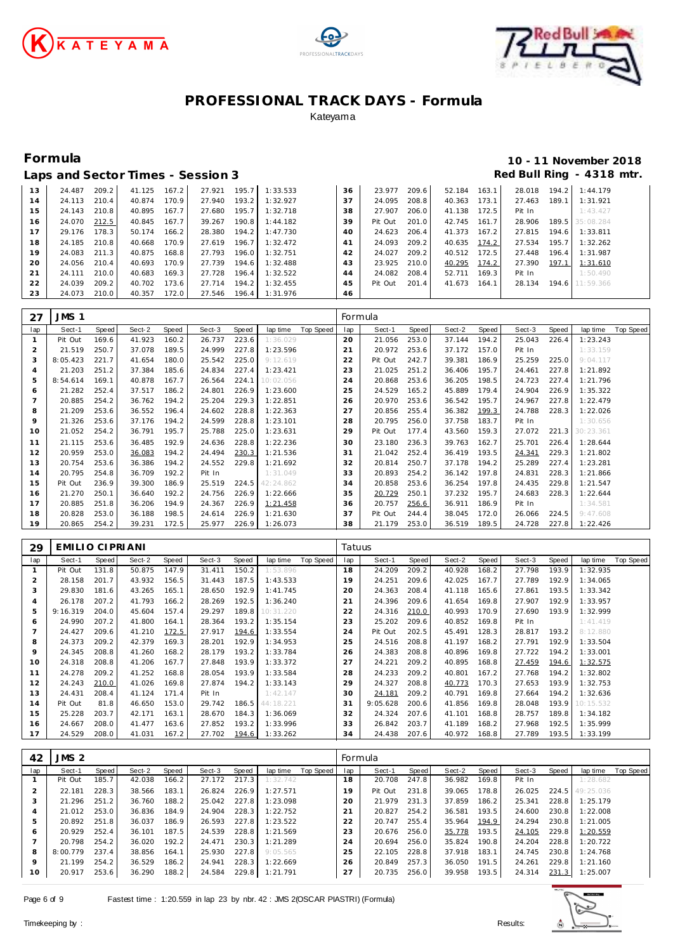





### **Formula 10 - 11 November 2018 Laps and Sector Times - Session 3 Red Bull Ring - 4318 mtr.**

|    |        |       |        |       | Laps and booton innosing bossion o |       |                       |    |         |       |        |       |        |       |                        |
|----|--------|-------|--------|-------|------------------------------------|-------|-----------------------|----|---------|-------|--------|-------|--------|-------|------------------------|
| 13 | 24.487 | 209.2 | 41.125 | 167.2 | 27.921                             |       | 195.7 1:33.533        | 36 | 23.977  | 209.6 | 52.184 | 163.1 | 28.018 |       | 194.2 1:44.179         |
| 14 | 24.113 | 210.4 | 40.874 | 170.9 | 27.940                             | 193.2 | 1:32.927              | 37 | 24.095  | 208.8 | 40.363 | 173.1 | 27.463 | 189.1 | 1:31.921               |
| 15 | 24.143 | 210.8 | 40.895 | 167.7 | 27.680                             | 195.7 | 1:32.718              | 38 | 27.907  | 206.0 | 41.138 | 172.5 | Pit In |       | 1:43.427               |
| 16 | 24.070 | 212.5 | 40.845 | 167.7 | 39.267                             | 190.8 | 1:44.182              | 39 | Pit Out | 201.0 | 42.745 | 161.7 | 28.906 |       | 189.5 35:08.284        |
| 17 | 29.176 | 178.3 | 50.174 | 166.2 | 28.380                             |       | 194.2 1:47.730        | 40 | 24.623  | 206.4 | 41.373 | 167.2 | 27.815 |       | 194.6 1:33.811         |
| 18 | 24.185 | 210.8 | 40.668 | 170.9 | 27.619                             | 196.7 | 1:32.472              | 41 | 24.093  | 209.2 | 40.635 | 174.2 | 27.534 | 195.7 | 1:32.262               |
| 19 | 24.083 | 211.3 | 40.875 | 168.8 | 27.793                             | 196.0 | 1:32.751              | 42 | 24.027  | 209.2 | 40.512 | 172.5 | 27.448 | 196.4 | 1:31.987               |
| 20 | 24.056 | 210.4 | 40.693 | 170.9 | 27.739                             | 194.6 | 1:32.488              | 43 | 23.925  | 210.0 | 40.295 | 174.2 | 27.390 | 197.1 | 1:31.610               |
| 21 | 24.111 | 210.0 | 40.683 | 169.3 | 27.728                             | 196.4 | 1:32.522              | 44 | 24.082  | 208.4 | 52.711 | 169.3 | Pit In |       | 1:50.490               |
| 22 | 24.039 | 209.2 | 40.702 | 173.6 | 27.714                             | 194.2 | 1:32.455              | 45 | Pit Out | 201.4 | 41.673 | 164.1 |        |       | 28.134 194.6 11:59.366 |
| 23 | 24.073 | 210.0 | 40.357 | 172.0 |                                    |       | 27.546 196.4 1:31.976 | 46 |         |       |        |       |        |       |                        |
|    |        |       |        |       |                                    |       |                       |    |         |       |        |       |        |       |                        |

| 27  | JMS 1    |       |        |       |        |       |           |           | Formula |         |       |        |       |        |       |           |           |
|-----|----------|-------|--------|-------|--------|-------|-----------|-----------|---------|---------|-------|--------|-------|--------|-------|-----------|-----------|
| lap | Sect-1   | Speed | Sect-2 | Speed | Sect-3 | Speed | lap time  | Top Speed | lap     | Sect-1  | Speed | Sect-2 | Speed | Sect-3 | Speed | lap time  | Top Speed |
|     | Pit Out  | 169.6 | 41.923 | 160.2 | 26.737 | 223.6 | 1:36.029  |           | 20      | 21.056  | 253.0 | 37.144 | 194.2 | 25.043 | 226.4 | 1:23.243  |           |
|     | 21.519   | 250.7 | 37.078 | 189.5 | 24.999 | 227.8 | 1:23.596  |           | 21      | 20.972  | 253.6 | 37.172 | 157.0 | Pit In |       | 1:33.159  |           |
| 3   | 8:05.423 | 221.7 | 41.654 | 180.0 | 25.542 | 225.0 | 9:12.619  |           | 22      | Pit Out | 242.7 | 39.381 | 186.9 | 25.259 | 225.0 | 9:04.117  |           |
| 4   | 21.203   | 251.2 | 37.384 | 185.6 | 24.834 | 227.4 | 1:23.421  |           | 23      | 21.025  | 251.2 | 36.406 | 195.7 | 24.461 | 227.8 | 1:21.892  |           |
| 5   | 8:54.614 | 169.1 | 40.878 | 167.7 | 26.564 | 224.1 | 10:02.056 |           | 24      | 20.868  | 253.6 | 36.205 | 198.5 | 24.723 | 227.4 | 1:21.796  |           |
| 6   | 21.282   | 252.4 | 37.517 | 186.2 | 24.801 | 226.9 | 1:23.600  |           | 25      | 24.529  | 165.2 | 45.889 | 179.4 | 24.904 | 226.9 | 1:35.322  |           |
|     | 20.885   | 254.2 | 36.762 | 194.2 | 25.204 | 229.3 | 1:22.851  |           | 26      | 20.970  | 253.6 | 36.542 | 195.7 | 24.967 | 227.8 | 1:22.479  |           |
| 8   | 21.209   | 253.6 | 36.552 | 196.4 | 24.602 | 228.8 | 1:22.363  |           | 27      | 20.856  | 255.4 | 36.382 | 199.3 | 24.788 | 228.3 | 1:22.026  |           |
| 9   | 21.326   | 253.6 | 37.176 | 194.2 | 24.599 | 228.8 | 1:23.101  |           | 28      | 20.795  | 256.0 | 37.758 | 183.7 | Pit In |       | 1:30.656  |           |
| 10  | 21.052   | 254.2 | 36.791 | 195.7 | 25.788 | 225.0 | 1:23.631  |           | 29      | Pit Out | 177.4 | 43.560 | 159.3 | 27.072 | 221.3 | 30:23.361 |           |
| 11  | 21.115   | 253.6 | 36.485 | 192.9 | 24.636 | 228.8 | 1:22.236  |           | 30      | 23.180  | 236.3 | 39.763 | 162.7 | 25.701 | 226.4 | 1:28.644  |           |
| 12  | 20.959   | 253.0 | 36.083 | 194.2 | 24.494 | 230.3 | 1:21.536  |           | 31      | 21.042  | 252.4 | 36.419 | 193.5 | 24.341 | 229.3 | 1:21.802  |           |
| 13  | 20.754   | 253.6 | 36.386 | 194.2 | 24.552 | 229.8 | 1:21.692  |           | 32      | 20.814  | 250.7 | 37.178 | 194.2 | 25.289 | 227.4 | 1:23.281  |           |
| 14  | 20.795   | 254.8 | 36.709 | 192.2 | Pit In |       | 1:31.049  |           | 33      | 20.893  | 254.2 | 36.142 | 197.8 | 24.831 | 228.3 | 1:21.866  |           |
| 15  | Pit Out  | 236.9 | 39.300 | 186.9 | 25.519 | 224.5 | 42:24.862 |           | 34      | 20.858  | 253.6 | 36.254 | 197.8 | 24.435 | 229.8 | 1:21.547  |           |
| 16  | 21.270   | 250.1 | 36.640 | 192.2 | 24.756 | 226.9 | 1:22.666  |           | 35      | 20.729  | 250.1 | 37.232 | 195.7 | 24.683 | 228.3 | 1:22.644  |           |
| 17  | 20.885   | 251.8 | 36.206 | 194.9 | 24.367 | 226.9 | 1:21.458  |           | 36      | 20.757  | 256.6 | 36.911 | 186.9 | Pit In |       | 1:34.581  |           |
| 18  | 20.828   | 253.0 | 36.188 | 198.5 | 24.614 | 226.9 | 1:21.630  |           | 37      | Pit Out | 244.4 | 38.045 | 172.0 | 26.066 | 224.5 | 9:47.608  |           |
| 19  | 20.865   | 254.2 | 39.231 | 172.5 | 25.977 | 226.9 | 1:26.073  |           | 38      | 21.179  | 253.0 | 36.519 | 189.5 | 24.728 | 227.8 | 1:22.426  |           |

| 29  | EMILIO CIPRIANI |       |        |       |        |       |           |           | Tatuus |          |       |        |       |        |       |           |           |
|-----|-----------------|-------|--------|-------|--------|-------|-----------|-----------|--------|----------|-------|--------|-------|--------|-------|-----------|-----------|
| lap | Sect-1          | Speed | Sect-2 | Speed | Sect-3 | Speed | lap time  | Top Speed | lap    | Sect-1   | Speed | Sect-2 | Speed | Sect-3 | Speed | lap time  | Top Speed |
|     | Pit Out         | 131.8 | 50.875 | 147.9 | 31.411 | 150.2 | 1:53.896  |           | 18     | 24.209   | 209.2 | 40.928 | 168.2 | 27.798 | 193.9 | 1:32.935  |           |
| 2   | 28.158          | 201.7 | 43.932 | 156.5 | 31.443 | 187.5 | 1:43.533  |           | 19     | 24.251   | 209.6 | 42.025 | 167.7 | 27.789 | 192.9 | 1:34.065  |           |
| 3   | 29.830          | 181.6 | 43.265 | 165.1 | 28.650 | 192.9 | 1:41.745  |           | 20     | 24.363   | 208.4 | 41.118 | 165.6 | 27.861 | 193.5 | 1:33.342  |           |
| 4   | 26.178          | 207.2 | 41.793 | 166.2 | 28.269 | 192.5 | 1:36.240  |           | 21     | 24.396   | 209.6 | 41.654 | 169.8 | 27.907 | 192.9 | 1:33.957  |           |
| 5   | 9:16.319        | 204.0 | 45.604 | 157.4 | 29.297 | 189.8 | 10:31.220 |           | 22     | 24.316   | 210.0 | 40.993 | 170.9 | 27.690 | 193.9 | 1:32.999  |           |
| 6   | 24.990          | 207.2 | 41.800 | 164.1 | 28.364 | 193.2 | 1:35.154  |           | 23     | 25.202   | 209.6 | 40.852 | 169.8 | Pit In |       | 1:41.419  |           |
|     | 24.427          | 209.6 | 41.210 | 172.5 | 27.917 | 194.6 | 1:33.554  |           | 24     | Pit Out  | 202.5 | 45.491 | 128.3 | 28.817 | 193.2 | 8:12.880  |           |
| 8   | 24.373          | 209.2 | 42.379 | 169.3 | 28.201 | 192.9 | 1:34.953  |           | 25     | 24.516   | 208.8 | 41.197 | 168.2 | 27.791 | 192.9 | 1:33.504  |           |
| 9   | 24.345          | 208.8 | 41.260 | 168.2 | 28.179 | 193.2 | 1:33.784  |           | 26     | 24.383   | 208.8 | 40.896 | 169.8 | 27.722 | 194.2 | 1:33.001  |           |
| 10  | 24.318          | 208.8 | 41.206 | 167.7 | 27.848 | 193.9 | 1:33.372  |           | 27     | 24.221   | 209.2 | 40.895 | 168.8 | 27.459 | 194.6 | 1:32.575  |           |
| 11  | 24.278          | 209.2 | 41.252 | 168.8 | 28.054 | 193.9 | 1:33.584  |           | 28     | 24.233   | 209.2 | 40.801 | 167.2 | 27.768 | 194.2 | 1:32.802  |           |
| 12  | 24.243          | 210.0 | 41.026 | 169.8 | 27.874 | 194.2 | 1:33.143  |           | 29     | 24.327   | 208.8 | 40.773 | 170.3 | 27.653 | 193.9 | 1:32.753  |           |
| 13  | 24.431          | 208.4 | 41.124 | 171.4 | Pit In |       | 1:42.147  |           | 30     | 24.181   | 209.2 | 40.791 | 169.8 | 27.664 | 194.2 | 1:32.636  |           |
| 14  | Pit Out         | 81.8  | 46.650 | 153.0 | 29.742 | 186.5 | 44:18.221 |           | 31     | 9:05.628 | 200.6 | 41.856 | 169.8 | 28.048 | 193.9 | 10:15.532 |           |
| 15  | 25.228          | 203.7 | 42.171 | 163.1 | 28.670 | 184.3 | 1:36.069  |           | 32     | 24.324   | 207.6 | 41.101 | 168.8 | 28.757 | 189.8 | 1:34.182  |           |
| 16  | 24.667          | 208.0 | 41.477 | 163.6 | 27.852 | 193.2 | 1:33.996  |           | 33     | 26.842   | 203.7 | 41.189 | 168.2 | 27.968 | 192.5 | 1:35.999  |           |
| 17  | 24.529          | 208.0 | 41.031 | 167.2 | 27.702 | 194.6 | 1:33.262  |           | 34     | 24.438   | 207.6 | 40.972 | 168.8 | 27.789 | 193.5 | 1:33.199  |           |

| 42      | JMS <sub>2</sub> |       |        |       |        |       |          |           | Formula |         |       |        |       |        |       |                 |           |
|---------|------------------|-------|--------|-------|--------|-------|----------|-----------|---------|---------|-------|--------|-------|--------|-------|-----------------|-----------|
| lap     | Sect-1           | Speed | Sect-2 | Speed | Sect-3 | Speed | lap time | Top Speed | lap     | Sect-1  | Speed | Sect-2 | Speed | Sect-3 | Speed | lap time        | Top Speed |
|         | Pit Out          | 185.7 | 42.038 | 166.2 | 27.172 | 217.3 | 1:32.742 |           | 18      | 20.708  | 247.8 | 36.982 | 169.8 | Pit In |       | 1:28.682        |           |
|         | 22.181           | 228.3 | 38.566 | 183.1 | 26.824 | 226.9 | 1:27.571 |           | 19      | Pit Out | 231.8 | 39.065 | 178.8 | 26.025 |       | 224.5 49:25.036 |           |
|         | 21.296           | 251.2 | 36.760 | 188.2 | 25.042 | 227.8 | 1:23.098 |           | 20      | 21.979  | 231.3 | 37.859 | 186.2 | 25.341 | 228.8 | 1:25.179        |           |
| 4       | 21.012           | 253.0 | 36.836 | 184.9 | 24.904 | 228.3 | 1:22.752 |           | 21      | 20.827  | 254.2 | 36.581 | 193.5 | 24.600 | 230.8 | 1:22.008        |           |
| .5      | 20.892           | 251.8 | 36.037 | 186.9 | 26.593 | 227.8 | 1:23.522 |           | 22      | 20.747  | 255.4 | 35.964 | 194.9 | 24.294 | 230.8 | 1:21.005        |           |
| 6       | 20.929           | 252.4 | 36.101 | 187.5 | 24.539 | 228.8 | 1:21.569 |           | 23      | 20.676  | 256.0 | 35.778 | 193.5 | 24.105 | 229.8 | 1:20.559        |           |
|         | 20.798           | 254.2 | 36.020 | 192.2 | 24.471 | 230.3 | 1:21.289 |           | 24      | 20.694  | 256.0 | 35.824 | 190.8 | 24.204 | 228.8 | 1:20.722        |           |
| 8       | 8:00.779         | 237.4 | 38.856 | 164.1 | 25.930 | 227.8 | 9:05.565 |           | 25      | 22.105  | 228.8 | 37.918 | 183.1 | 24.745 | 230.8 | 1:24.768        |           |
| $\circ$ | 21.199           | 254.2 | 36.529 | 186.2 | 24.941 | 228.3 | 1:22.669 |           | 26      | 20.849  | 257.3 | 36.050 | 191.5 | 24.261 | 229.8 | 1:21.160        |           |
| 10      | 20.917           | 253.6 | 36.290 | 188.2 | 24.584 | 229.8 | 1:21.791 |           | 27      | 20.735  | 256.0 | 39.958 | 193.5 | 24.314 | 231.3 | 1:25.007        |           |

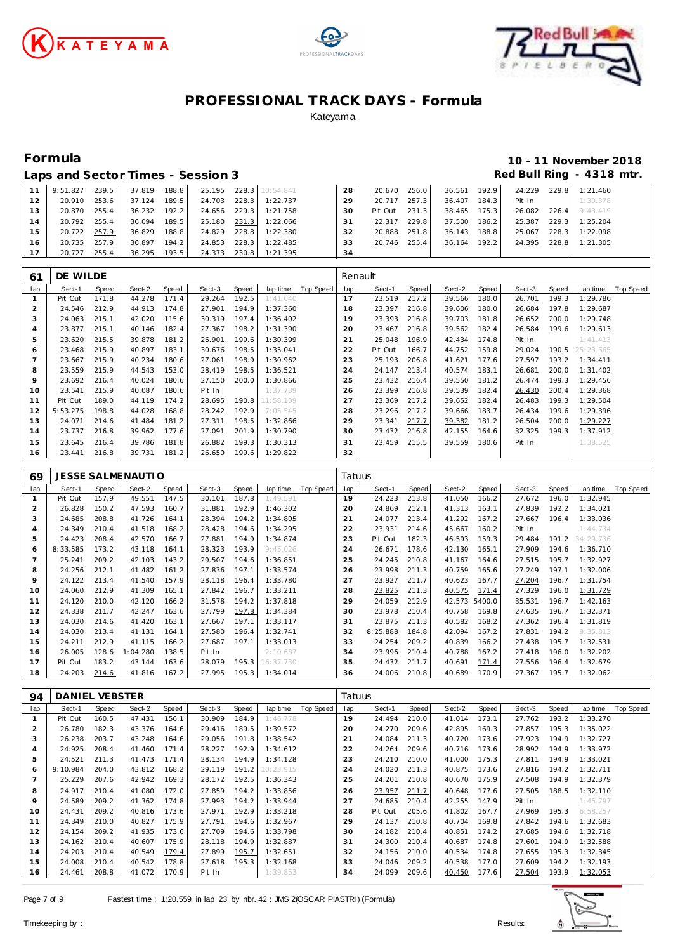





### **Formula 10 - 11 November 2018** Red Bull Ring - 4318 mtr.

| Laps and Sector Times - Session 3 |  |
|-----------------------------------|--|
|-----------------------------------|--|

|                 | 9:51.827 | 239.5 | 37.819 | 188.8 | 25.195 |       | 228.3 10:54.841 | 28 | 20.670  | 256.0 | 36.561 | 192.9 | 24.229 | 229.8 | 1:21.460 |
|-----------------|----------|-------|--------|-------|--------|-------|-----------------|----|---------|-------|--------|-------|--------|-------|----------|
| 12              | 20.910   | 253.6 | 37.124 | 189.5 | 24.703 | 228.3 | 1:22.737        | 29 | 20.717  | 257.3 | 36.407 | 184.3 | Pit In |       | 1:30.378 |
| 13 <sup>7</sup> | 20.870   | 255.4 | 36.232 | 192.2 | 24.656 |       | 229.3 1:21.758  | 30 | Pit Out | 231.3 | 38.465 | 175.3 | 26.082 | 226.4 | 9:43.419 |
| 14              | 20.792   | 255.4 | 36.094 | 189.5 | 25.180 | 231.3 | 1:22.066        | 31 | 22.317  | 229.8 | 37.500 | 186.2 | 25.387 | 229.3 | 1:25.204 |
| 15              | 20.722   | 257.9 | 36.829 | 188.8 | 24.829 | 228.8 | 1:22.380        | 32 | 20.888  | 251.8 | 36.143 | 188.8 | 25.067 | 228.3 | 1:22.098 |
| 16              | 20.735   | 257.9 | 36.897 | 194.2 | 24.853 | 228.3 | 1:22.485        | 33 | 20.746  | 255.4 | 36.164 | 192.2 | 24.395 | 228.8 | 1:21.305 |
|                 | 20.727   | 255.4 | 36.295 | 193.5 | 24.373 | 230.8 | 1:21.395        | 34 |         |       |        |       |        |       |          |

| 61  | DE WILDE |       |        |       |        |       |           |           | Renault     |         |       |        |       |        |       |           |           |
|-----|----------|-------|--------|-------|--------|-------|-----------|-----------|-------------|---------|-------|--------|-------|--------|-------|-----------|-----------|
| lap | Sect-1   | Speed | Sect-2 | Speed | Sect-3 | Speed | lap time  | Top Speed | lap         | Sect-1  | Speed | Sect-2 | Speed | Sect-3 | Speed | lap time  | Top Speed |
|     | Pit Out  | 171.8 | 44.278 | 171.4 | 29.264 | 192.5 | 1:41.640  |           | 17          | 23.519  | 217.2 | 39.566 | 180.0 | 26.701 | 199.3 | 1:29.786  |           |
|     | 24.546   | 212.9 | 44.913 | 174.8 | 27.901 | 194.9 | 1:37.360  |           | 18          | 23.397  | 216.8 | 39.606 | 180.0 | 26.684 | 197.8 | 1:29.687  |           |
| 3   | 24.063   | 215.1 | 42.020 | 115.6 | 30.319 | 197.4 | 1:36.402  |           | 19          | 23.393  | 216.8 | 39.703 | 181.8 | 26.652 | 200.0 | 1:29.748  |           |
| 4   | 23.877   | 215.1 | 40.146 | 182.4 | 27.367 | 198.2 | 1:31.390  |           | 20          | 23.467  | 216.8 | 39.562 | 182.4 | 26.584 | 199.6 | 1:29.613  |           |
| 5   | 23.620   | 215.5 | 39.878 | 181.2 | 26.901 | 199.6 | 1:30.399  |           | $2^{\cdot}$ | 25.048  | 196.9 | 42.434 | 174.8 | Pit In |       | 1:41.413  |           |
| 6   | 23.468   | 215.9 | 40.897 | 183.1 | 30.676 | 198.5 | 1:35.041  |           | 22          | Pit Out | 166.7 | 44.752 | 159.8 | 29.024 | 190.5 | 25:23.665 |           |
|     | 23.667   | 215.9 | 40.234 | 180.6 | 27.061 | 198.9 | 1:30.962  |           | 23          | 25.193  | 206.8 | 41.621 | 177.6 | 27.597 | 193.2 | 1:34.411  |           |
| 8   | 23.559   | 215.9 | 44.543 | 153.0 | 28.419 | 198.5 | 1:36.521  |           | 24          | 24.147  | 213.4 | 40.574 | 183.1 | 26.681 | 200.0 | 1:31.402  |           |
| 9   | 23.692   | 216.4 | 40.024 | 180.6 | 27.150 | 200.0 | 1:30.866  |           | 25          | 23.432  | 216.4 | 39.550 | 181.2 | 26.474 | 199.3 | 1:29.456  |           |
| 10  | 23.541   | 215.9 | 40.087 | 180.6 | Pit In |       | 1:37.739  |           | 26          | 23.399  | 216.8 | 39.539 | 182.4 | 26.430 | 200.4 | 1:29.368  |           |
| 11  | Pit Out  | 189.0 | 44.119 | 174.2 | 28.695 | 190.8 | 11:58.109 |           | 27          | 23.369  | 217.2 | 39.652 | 182.4 | 26.483 | 199.3 | 1:29.504  |           |
| 12  | 5:53.275 | 198.8 | 44.028 | 168.8 | 28.242 | 192.9 | 7:05.545  |           | 28          | 23.296  | 217.2 | 39.666 | 183.7 | 26.434 | 199.6 | 1:29.396  |           |
| 13  | 24.071   | 214.6 | 41.484 | 181.2 | 27.311 | 198.5 | 1:32.866  |           | 29          | 23.341  | 217.7 | 39.382 | 181.2 | 26.504 | 200.0 | 1:29.227  |           |
| 14  | 23.737   | 216.8 | 39.962 | 177.6 | 27.091 | 201.9 | 1:30.790  |           | 30          | 23.432  | 216.8 | 42.155 | 164.6 | 32.325 | 199.3 | 1:37.912  |           |
| 15  | 23.645   | 216.4 | 39.786 | 181.8 | 26.882 | 199.3 | 1:30.313  |           | 3.          | 23.459  | 215.5 | 39.559 | 180.6 | Pit In |       | 1:38.525  |           |
| 16  | 23.441   | 216.8 | 39.731 | 181.2 | 26.650 | 199.6 | 1:29.822  |           | 32          |         |       |        |       |        |       |           |           |

| 69      |          |       | JESSE SALMENAUTI O |       |        |       |           |           | Tatuus |          |       |               |       |        |       |           |           |
|---------|----------|-------|--------------------|-------|--------|-------|-----------|-----------|--------|----------|-------|---------------|-------|--------|-------|-----------|-----------|
| lap     | Sect-1   | Speed | Sect-2             | Speed | Sect-3 | Speed | lap time  | Top Speed | lap    | Sect-1   | Speed | Sect-2        | Speed | Sect-3 | Speed | lap time  | Top Speed |
|         | Pit Out  | 157.9 | 49.551             | 147.5 | 30.101 | 187.8 | 1:49.591  |           | 19     | 24.223   | 213.8 | 41.050        | 166.2 | 27.672 | 196.0 | 1:32.945  |           |
| 2       | 26.828   | 150.2 | 47.593             | 160.7 | 31.881 | 192.9 | 1:46.302  |           | 20     | 24.869   | 212.1 | 41.313        | 163.1 | 27.839 | 192.2 | 1:34.021  |           |
| 3       | 24.685   | 208.8 | 41.726             | 164.1 | 28.394 | 194.2 | 1:34.805  |           | 21     | 24.077   | 213.4 | 41.292        | 167.2 | 27.667 | 196.4 | 1:33.036  |           |
| 4       | 24.349   | 210.4 | 41.518             | 168.2 | 28.428 | 194.6 | 1:34.295  |           | 22     | 23.931   | 214.6 | 45.667        | 160.2 | Pit In |       | 1:44.734  |           |
| 5       | 24.423   | 208.4 | 42.570             | 166.7 | 27.881 | 194.9 | 1:34.874  |           | 23     | Pit Out  | 182.3 | 46.593        | 159.3 | 29.484 | 191.2 | 34:29.736 |           |
| 6       | 8:33.585 | 173.2 | 43.118             | 164.1 | 28.323 | 193.9 | 9:45.026  |           | 24     | 26.671   | 178.6 | 42.130        | 165.1 | 27.909 | 194.6 | 1:36.710  |           |
|         | 25.241   | 209.2 | 42.103             | 143.2 | 29.507 | 194.6 | 1:36.851  |           | 25     | 24.245   | 210.8 | 41.167        | 164.6 | 27.515 | 195.7 | 1:32.927  |           |
| 8       | 24.256   | 212.1 | 41.482             | 161.2 | 27.836 | 197.1 | 1:33.574  |           | 26     | 23.998   | 211.3 | 40.759        | 165.6 | 27.249 | 197.1 | 1:32.006  |           |
| $\circ$ | 24.122   | 213.4 | 41.540             | 157.9 | 28.118 | 196.4 | 1:33.780  |           | 27     | 23.927   | 211.7 | 40.623        | 167.7 | 27.204 | 196.7 | 1:31.754  |           |
| 10      | 24.060   | 212.9 | 41.309             | 165.1 | 27.842 | 196.7 | 1:33.211  |           | 28     | 23.825   | 211.3 | 40.575        | 171.4 | 27.329 | 196.0 | 1:31.729  |           |
| 11      | 24.120   | 210.0 | 42.120             | 166.2 | 31.578 | 194.2 | 1:37.818  |           | 29     | 24.059   | 212.9 | 42.573 5400.0 |       | 35.531 | 196.7 | 1:42.163  |           |
| 12      | 24.338   | 211.7 | 42.247             | 163.6 | 27.799 | 197.8 | 1:34.384  |           | 30     | 23.978   | 210.4 | 40.758        | 169.8 | 27.635 | 196.7 | 1:32.371  |           |
| 13      | 24.030   | 214.6 | 41.420             | 163.1 | 27.667 | 197.1 | 1:33.117  |           | 31     | 23.875   | 211.3 | 40.582        | 168.2 | 27.362 | 196.4 | 1:31.819  |           |
| 14      | 24.030   | 213.4 | 41.131             | 164.1 | 27.580 | 196.4 | 1:32.741  |           | 32     | 8:25.888 | 184.8 | 42.094        | 167.2 | 27.831 | 194.2 | 9:35.813  |           |
| 15      | 24.211   | 212.9 | 41.115             | 166.2 | 27.687 | 197.1 | 1:33.013  |           | 33     | 24.254   | 209.2 | 40.839        | 166.2 | 27.438 | 195.7 | 1:32.531  |           |
| 16      | 26.005   | 128.6 | 1:04.280           | 138.5 | Pit In |       | 2:10.687  |           | 34     | 23.996   | 210.4 | 40.788        | 167.2 | 27.418 | 196.0 | 1:32.202  |           |
| 17      | Pit Out  | 183.2 | 43.144             | 163.6 | 28.079 | 195.3 | 16:37.730 |           | 35     | 24.432   | 211.7 | 40.691        | 171.4 | 27.556 | 196.4 | 1:32.679  |           |
| 18      | 24.203   | 214.6 | 41.816             | 167.2 | 27.995 | 195.3 | 1:34.014  |           | 36     | 24.006   | 210.8 | 40.689        | 170.9 | 27.367 | 195.7 | 1:32.062  |           |

| 94  | DANIEL VEBSTER |       |        |       |        |       |           |           | Tatuus |         |       |        |       |        |       |          |           |
|-----|----------------|-------|--------|-------|--------|-------|-----------|-----------|--------|---------|-------|--------|-------|--------|-------|----------|-----------|
| lap | Sect-1         | Speed | Sect-2 | Speed | Sect-3 | Speed | lap time  | Top Speed | lap    | Sect-1  | Speed | Sect-2 | Speed | Sect-3 | Speed | lap time | Top Speed |
|     | Pit Out        | 160.5 | 47.431 | 156.1 | 30.909 | 184.9 | 1:46.778  |           | 19     | 24.494  | 210.0 | 41.014 | 173.1 | 27.762 | 193.2 | 1:33.270 |           |
|     | 26.780         | 182.3 | 43.376 | 164.6 | 29.416 | 189.5 | 1:39.572  |           | 20     | 24.270  | 209.6 | 42.895 | 169.3 | 27.857 | 195.3 | 1:35.022 |           |
| 3   | 26.238         | 203.7 | 43.248 | 164.6 | 29.056 | 191.8 | 1:38.542  |           | 21     | 24.084  | 211.3 | 40.720 | 173.6 | 27.923 | 194.9 | 1:32.727 |           |
| 4   | 24.925         | 208.4 | 41.460 | 171.4 | 28.227 | 192.9 | 1:34.612  |           | 22     | 24.264  | 209.6 | 40.716 | 173.6 | 28.992 | 194.9 | 1:33.972 |           |
| 5   | 24.521         | 211.3 | 41.473 | 171.4 | 28.134 | 194.9 | 1:34.128  |           | 23     | 24.210  | 210.0 | 41.000 | 175.3 | 27.811 | 194.9 | 1:33.021 |           |
| 6   | 9:10.984       | 204.0 | 43.812 | 168.2 | 29.119 | 191.2 | 10:23.915 |           | 24     | 24.020  | 211.3 | 40.875 | 173.6 | 27.816 | 194.2 | 1:32.711 |           |
|     | 25.229         | 207.6 | 42.942 | 169.3 | 28.172 | 192.5 | 1:36.343  |           | 25     | 24.201  | 210.8 | 40.670 | 175.9 | 27.508 | 194.9 | 1:32.379 |           |
| 8   | 24.917         | 210.4 | 41.080 | 172.0 | 27.859 | 194.2 | 1:33.856  |           | 26     | 23.957  | 211.7 | 40.648 | 177.6 | 27.505 | 188.5 | 1:32.110 |           |
| 9   | 24.589         | 209.2 | 41.362 | 174.8 | 27.993 | 194.2 | 1:33.944  |           | 27     | 24.685  | 210.4 | 42.255 | 147.9 | Pit In |       | 1:45.797 |           |
| 10  | 24.431         | 209.2 | 40.816 | 173.6 | 27.971 | 192.9 | 1:33.218  |           | 28     | Pit Out | 205.6 | 41.802 | 167.7 | 27.969 | 195.3 | 6:58.257 |           |
| 11  | 24.349         | 210.0 | 40.827 | 175.9 | 27.791 | 194.6 | 1:32.967  |           | 29     | 24.137  | 210.8 | 40.704 | 169.8 | 27.842 | 194.6 | 1:32.683 |           |
| 12  | 24.154         | 209.2 | 41.935 | 173.6 | 27.709 | 194.6 | 1:33.798  |           | 30     | 24.182  | 210.4 | 40.851 | 174.2 | 27.685 | 194.6 | 1:32.718 |           |
| 13  | 24.162         | 210.4 | 40.607 | 175.9 | 28.118 | 194.9 | 1:32.887  |           | 31     | 24.300  | 210.4 | 40.687 | 174.8 | 27.601 | 194.9 | 1:32.588 |           |
| 14  | 24.203         | 210.4 | 40.549 | 179.4 | 27.899 | 195.7 | 1:32.651  |           | 32     | 24.156  | 210.0 | 40.534 | 174.8 | 27.655 | 195.3 | 1:32.345 |           |
| 15  | 24.008         | 210.4 | 40.542 | 178.8 | 27.618 | 195.3 | 1:32.168  |           | 33     | 24.046  | 209.2 | 40.538 | 177.0 | 27.609 | 194.2 | 1:32.193 |           |
| 16  | 24.461         | 208.8 | 41.072 | 170.9 | Pit In |       | 1:39.853  |           | 34     | 24.099  | 209.6 | 40.450 | 177.6 | 27.504 | 193.9 | 1:32.053 |           |

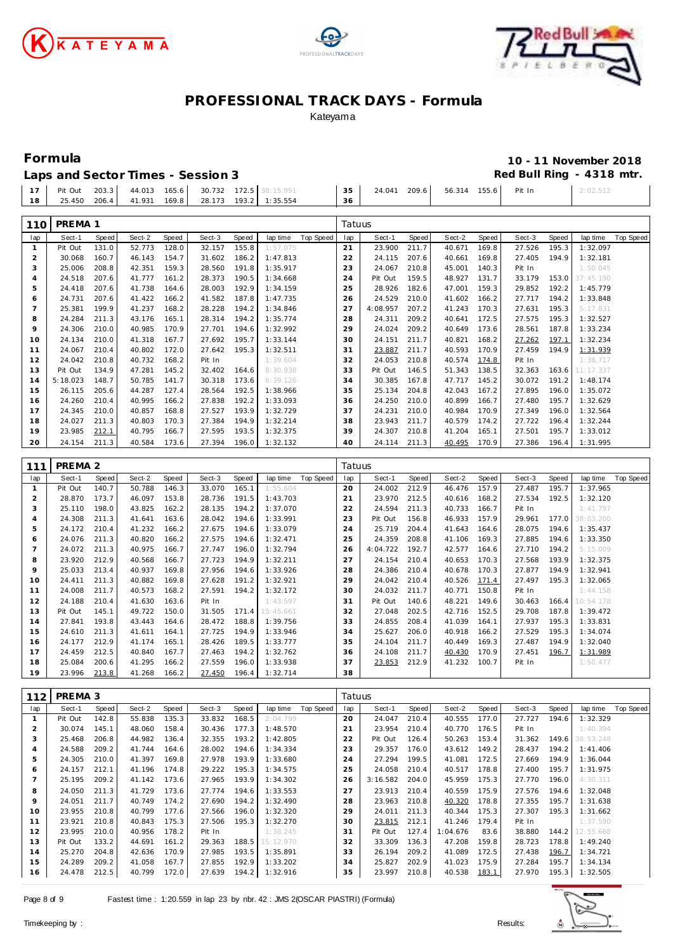





## **Formula 10 - 11 November 2018**

|--|

|  | 17   Pit Out 203.3   44.013 165.6   30.732 172.5   38:15.991 | 35 | 24.041 209.6 56.314 155.6 Pit In | 2:02.512 |
|--|--------------------------------------------------------------|----|----------------------------------|----------|
|  | 18   25.450 206.4   41.931 169.8   28.173 193.2   1:35.554   |    |                                  |          |
|  |                                                              |    |                                  |          |

| 110            | PREMA 1            |              |        |              |        |       |           |                  | Tatuus |          |       |        |       |        |       |           |                  |
|----------------|--------------------|--------------|--------|--------------|--------|-------|-----------|------------------|--------|----------|-------|--------|-------|--------|-------|-----------|------------------|
| lap            | Sect-1             | Speed        | Sect-2 | Speed        | Sect-3 | Speed | lap time  | <b>Top Speed</b> | lap    | Sect-1   | Speed | Sect-2 | Speed | Sect-3 | Speed | lap time  | <b>Top Speed</b> |
| $\mathbf{1}$   | Pit Out            | 131.0        | 52.773 | 128.0        | 32.157 | 155.8 | 1:57.075  |                  | 21     | 23.900   | 211.7 | 40.671 | 169.8 | 27.526 | 195.3 | 1:32.097  |                  |
| $\overline{2}$ | 30.068             | 160.7        | 46.143 | 154.7        | 31.602 | 186.2 | 1:47.813  |                  | 22     | 24.115   | 207.6 | 40.661 | 169.8 | 27.405 | 194.9 | 1:32.181  |                  |
| 3              | 25.006             | 208.8        | 42.351 | 159.3        | 28.560 | 191.8 | 1:35.917  |                  | 23     | 24.067   | 210.8 | 45.001 | 140.3 | Pit In |       | 1:50.045  |                  |
| 4              | 24.518             | 207.6        | 41.777 | 161.2        | 28.373 | 190.5 | 1:34.668  |                  | 24     | Pit Out  | 159.5 | 48.927 | 131.7 | 33.179 | 153.0 | 37:45.190 |                  |
| 5              | 24.418             | 207.6        | 41.738 | 164.6        | 28.003 | 192.9 | 1:34.159  |                  | 25     | 28.926   | 182.6 | 47.001 | 159.3 | 29.852 | 192.2 | 1:45.779  |                  |
| 6              | 24.731             | 207.6        | 41.422 | 166.2        | 41.582 | 187.8 | 1:47.735  |                  | 26     | 24.529   | 210.0 | 41.602 | 166.2 | 27.717 | 194.2 | 1:33.848  |                  |
| $\overline{7}$ | 25.381             | 199.9        | 41.237 | 168.2        | 28.228 | 194.2 | 1:34.846  |                  | 27     | 4:08.957 | 207.2 | 41.243 | 170.3 | 27.631 | 195.3 | 5:17.831  |                  |
| 8              | 24.284             | 211.3        | 43.176 | 165.1        | 28.314 | 194.2 | 1:35.774  |                  | 28     | 24.311   | 209.2 | 40.641 | 172.5 | 27.575 | 195.3 | 1:32.527  |                  |
| 9              | 24.306             | 210.0        | 40.985 | 170.9        | 27.701 | 194.6 | 1:32.992  |                  | 29     | 24.024   | 209.2 | 40.649 | 173.6 | 28.561 | 187.8 | 1:33.234  |                  |
| 10             | 24.134             | 210.0        | 41.318 | 167.7        | 27.692 | 195.7 | 1:33.144  |                  | 30     | 24.151   | 211.7 | 40.821 | 168.2 | 27.262 | 197.1 | 1:32.234  |                  |
| 11             | 24.067             | 210.4        | 40.802 | 172.0        | 27.642 | 195.3 | 1:32.511  |                  | 31     | 23.887   | 211.7 | 40.593 | 170.9 | 27.459 | 194.9 | 1:31.939  |                  |
| 12             | 24.042             | 210.8        | 40.732 | 168.2        | Pit In |       | 1:39.604  |                  | 32     | 24.053   | 210.8 | 40.574 | 174.8 | Pit In |       | 1:38.717  |                  |
| 13             | Pit Out            | 134.9        | 47.281 | 145.2        | 32.402 | 164.6 | 8:30.938  |                  | 33     | Pit Out  | 146.5 | 51.343 | 138.5 | 32.363 | 163.6 | 11:17.337 |                  |
| 14             | 5:18.023           | 148.7        | 50.785 | 141.7        | 30.318 | 173.6 | 6:39.126  |                  | 34     | 30.385   | 167.8 | 47.717 | 145.2 | 30.072 | 191.2 | 1:48.174  |                  |
| 15             | 26.115             | 205.6        | 44.287 | 127.4        | 28.564 | 192.5 | 1:38.966  |                  | 35     | 25.134   | 204.8 | 42.043 | 167.2 | 27.895 | 196.0 | 1:35.072  |                  |
| 16             | 24.260             | 210.4        | 40.995 | 166.2        | 27.838 | 192.2 | 1:33.093  |                  | 36     | 24.250   | 210.0 | 40.899 | 166.7 | 27.480 | 195.7 | 1:32.629  |                  |
| 17             | 24.345             | 210.0        | 40.857 | 168.8        | 27.527 | 193.9 | 1:32.729  |                  | 37     | 24.231   | 210.0 | 40.984 | 170.9 | 27.349 | 196.0 | 1:32.564  |                  |
| 18             | 24.027             | 211.3        | 40.803 | 170.3        | 27.384 | 194.9 | 1:32.214  |                  | 38     | 23.943   | 211.7 | 40.579 | 174.2 | 27.722 | 196.4 | 1:32.244  |                  |
| 19             | 23.985             | 212.1        | 40.795 | 166.7        | 27.595 | 193.5 | 1:32.375  |                  | 39     | 24.307   | 210.8 | 41.204 | 165.1 | 27.501 | 195.7 | 1:33.012  |                  |
| 20             | 24.154             | 211.3        | 40.584 | 173.6        | 27.394 | 196.0 | 1:32.132  |                  | 40     | 24.114   | 211.3 | 40.495 | 170.9 | 27.386 | 196.4 | 1:31.995  |                  |
|                |                    |              |        |              |        |       |           |                  |        |          |       |        |       |        |       |           |                  |
|                |                    |              |        |              |        |       |           |                  |        |          |       |        |       |        |       |           |                  |
| 111            | PREMA <sub>2</sub> |              |        |              |        |       |           |                  | Tatuus |          |       |        |       |        |       |           |                  |
| lap            | Sect-1             | <b>Speed</b> | Sect-2 | <b>Speed</b> | Sect-3 | Speed | lap time  | <b>Top Speed</b> | lap    | Sect-1   | Speed | Sect-2 | Speed | Sect-3 | Speed | lap time  | <b>Top Speed</b> |
| $\mathbf{1}$   | Pit Out            | 140.7        | 50.788 | 146.3        | 33.070 | 165.1 | 1:55.604  |                  | 20     | 24.002   | 212.9 | 46.476 | 157.9 | 27.487 | 195.7 | 1:37.965  |                  |
| $\overline{2}$ | 28.870             | 173.7        | 46.097 | 153.8        | 28.736 | 191.5 | 1:43.703  |                  | 21     | 23.970   | 212.5 | 40.616 | 168.2 | 27.534 | 192.5 | 1:32.120  |                  |
| 3              | 25.110             | 198.0        | 43.825 | 162.2        | 28.135 | 194.2 | 1:37.070  |                  | 22     | 24.594   | 211.3 | 40.733 | 166.7 | Pit In |       | 1:41.797  |                  |
| 4              | 24.308             | 211.3        | 41.641 | 163.6        | 28.042 | 194.6 | 1:33.991  |                  | 23     | Pit Out  | 156.8 | 46.933 | 157.9 | 29.961 | 177.0 | 38:03.200 |                  |
| 5              | 24.172             | 210.4        | 41.232 | 166.2        | 27.675 | 194.6 | 1:33.079  |                  | 24     | 25.719   | 204.4 | 41.643 | 164.6 | 28.075 | 194.6 | 1:35.437  |                  |
| 6              | 24.076             | 211.3        | 40.820 | 166.2        | 27.575 | 194.6 | 1:32.471  |                  | 25     | 24.359   | 208.8 | 41.106 | 169.3 | 27.885 | 194.6 | 1:33.350  |                  |
| $\overline{7}$ | 24.072             | 211.3        | 40.975 | 166.7        | 27.747 | 196.0 | 1:32.794  |                  | 26     | 4:04.722 | 192.7 | 42.577 | 164.6 | 27.710 | 194.2 | 5:15.009  |                  |
| 8              | 23.920             | 212.9        | 40.568 | 166.7        | 27.723 | 194.9 | 1:32.211  |                  | 27     | 24.154   | 210.4 | 40.653 | 170.3 | 27.568 | 193.9 | 1:32.375  |                  |
| 9              | 25.033             | 213.4        | 40.937 | 169.8        | 27.956 | 194.6 | 1:33.926  |                  | 28     | 24.386   | 210.4 | 40.678 | 170.3 | 27.877 | 194.9 | 1:32.941  |                  |
| 10             | 24.411             | 211.3        | 40.882 | 169.8        | 27.628 | 191.2 | 1:32.921  |                  | 29     | 24.042   | 210.4 | 40.526 | 171.4 | 27.497 | 195.3 | 1:32.065  |                  |
| 11             | 24.008             | 211.7        | 40.573 | 168.2        | 27.591 | 194.2 | 1:32.172  |                  | 30     | 24.032   | 211.7 | 40.771 | 150.8 | Pit In |       | 1:44.158  |                  |
| 12             | 24.188             | 210.4        | 41.630 | 163.6        | Pit In |       | 1:43.597  |                  | 31     | Pit Out  | 140.6 | 48.221 | 149.6 | 30.463 | 166.4 | 10:54.178 |                  |
| 13             | Pit Out            | 145.1        | 49.722 | 150.0        | 31.505 | 171.4 | 15:45.661 |                  | 32     | 27.048   | 202.5 | 42.716 | 152.5 | 29.708 | 187.8 | 1:39.472  |                  |
| 14             | 27.841             | 193.8        | 43.443 | 164.6        | 28.472 | 188.8 | 1:39.756  |                  | 33     | 24.855   | 208.4 | 41.039 | 164.1 | 27.937 | 195.3 | 1:33.831  |                  |
| 15             | 24.610             | 211.3        | 41.611 | 164.1        | 27.725 | 194.9 | 1:33.946  |                  | 34     | 25.627   | 206.0 | 40.918 | 166.2 | 27.529 | 195.3 | 1:34.074  |                  |
| 16             | 24.177             | 212.9        | 41.174 | 165.1        | 28.426 | 189.5 | 1:33.777  |                  | 35     | 24.104   | 211.7 | 40.449 | 169.3 | 27.487 | 194.9 | 1:32.040  |                  |
| 17             | 24.459             | 212.5        | 40.840 | 167.7        | 27.463 | 194.2 | 1:32.762  |                  | 36     | 24.108   | 211.7 | 40.430 | 170.9 | 27.451 | 196.7 | 1:31.989  |                  |
| 18             | 25.084             | 200.6        | 41.295 | 166.2        | 27.559 | 196.0 | 1:33.938  |                  | 37     | 23.853   | 212.9 | 41.232 | 100.7 | Pit In |       | 1:50.477  |                  |
| 19             | 23.996             | 213.8        | 41.268 | 166.2        | 27.450 | 196.4 | 1:32.714  |                  | 38     |          |       |        |       |        |       |           |                  |

| 112            | PREMA 3 |       |        |       |        |       |           |           | Tatuus |          |       |          |       |        |       |           |           |
|----------------|---------|-------|--------|-------|--------|-------|-----------|-----------|--------|----------|-------|----------|-------|--------|-------|-----------|-----------|
| lap            | Sect-1  | Speed | Sect-2 | Speed | Sect-3 | Speed | lap time  | Top Speed | lap    | Sect-1   | Speed | Sect-2   | Speed | Sect-3 | Speed | lap time  | Top Speed |
|                | Pit Out | 142.8 | 55.838 | 135.3 | 33.832 | 168.5 | 2:04.799  |           | 20     | 24.047   | 210.4 | 40.555   | 177.0 | 27.727 | 194.6 | 1:32.329  |           |
| $\overline{2}$ | 30.074  | 145.1 | 48.060 | 158.4 | 30.436 | 177.3 | 1:48.570  |           | 21     | 23.954   | 210.4 | 40.770   | 176.5 | Pit In |       | 1:40.394  |           |
| 3              | 25.468  | 206.8 | 44.982 | 136.4 | 32.355 | 193.2 | 1:42.805  |           | 22     | Pit Out  | 126.4 | 50.263   | 153.4 | 31.362 | 149.6 | 38:53.248 |           |
| 4              | 24.588  | 209.2 | 41.744 | 164.6 | 28.002 | 194.6 | 1:34.334  |           | 23     | 29.357   | 176.0 | 43.612   | 149.2 | 28.437 | 194.2 | 1: 41.406 |           |
| 5              | 24.305  | 210.0 | 41.397 | 169.8 | 27.978 | 193.9 | 1:33.680  |           | 24     | 27.294   | 199.5 | 41.081   | 172.5 | 27.669 | 194.9 | 1:36.044  |           |
| 6              | 24.157  | 212.1 | 41.196 | 174.8 | 29.222 | 195.3 | 1:34.575  |           | 25     | 24.058   | 210.4 | 40.517   | 178.8 | 27.400 | 195.7 | 1:31.975  |           |
|                | 25.195  | 209.2 | 41.142 | 173.6 | 27.965 | 193.9 | 1:34.302  |           | 26     | 3:16.582 | 204.0 | 45.959   | 175.3 | 27.770 | 196.0 | 4:30.311  |           |
| 8              | 24.050  | 211.3 | 41.729 | 173.6 | 27.774 | 194.6 | 1:33.553  |           | 27     | 23.913   | 210.4 | 40.559   | 175.9 | 27.576 | 194.6 | 1:32.048  |           |
| 9              | 24.051  | 211.7 | 40.749 | 174.2 | 27.690 | 194.2 | 1:32.490  |           | 28     | 23.963   | 210.8 | 40.320   | 178.8 | 27.355 | 195.7 | 1:31.638  |           |
| 10             | 23.955  | 210.8 | 40.799 | 177.6 | 27.566 | 196.0 | 1:32.320  |           | 29     | 24.011   | 211.3 | 40.344   | 175.3 | 27.307 | 195.3 | 1:31.662  |           |
| 11             | 23.921  | 210.8 | 40.843 | 175.3 | 27.506 | 195.3 | 1:32.270  |           | 30     | 23.815   | 212.1 | 41.246   | 179.4 | Pit In |       | 1:37.590  |           |
| 12             | 23.995  | 210.0 | 40.956 | 178.2 | Pit In |       | 1:38.245  |           | 31     | Pit Out  | 127.4 | 1:04.676 | 83.6  | 38.880 | 144.2 | 12:55.668 |           |
| 13             | Pit Out | 133.2 | 44.691 | 161.2 | 29.363 | 188.5 | 15:12.970 |           | 32     | 33.309   | 136.3 | 47.208   | 159.8 | 28.723 | 178.8 | 1:49.240  |           |
| 14             | 25.270  | 204.8 | 42.636 | 170.9 | 27.985 | 193.5 | 1:35.891  |           | 33     | 26.194   | 209.2 | 41.089   | 172.5 | 27.438 | 196.7 | 1:34.721  |           |
| 15             | 24.289  | 209.2 | 41.058 | 167.7 | 27.855 | 192.9 | 1:33.202  |           | 34     | 25.827   | 202.9 | 41.023   | 175.9 | 27.284 | 195.7 | 1:34.134  |           |
| 16             | 24.478  | 212.5 | 40.799 | 172.0 | 27.639 | 194.2 | 1:32.916  |           | 35     | 23.997   | 210.8 | 40.538   | 183.1 | 27.970 | 195.3 | 1:32.505  |           |